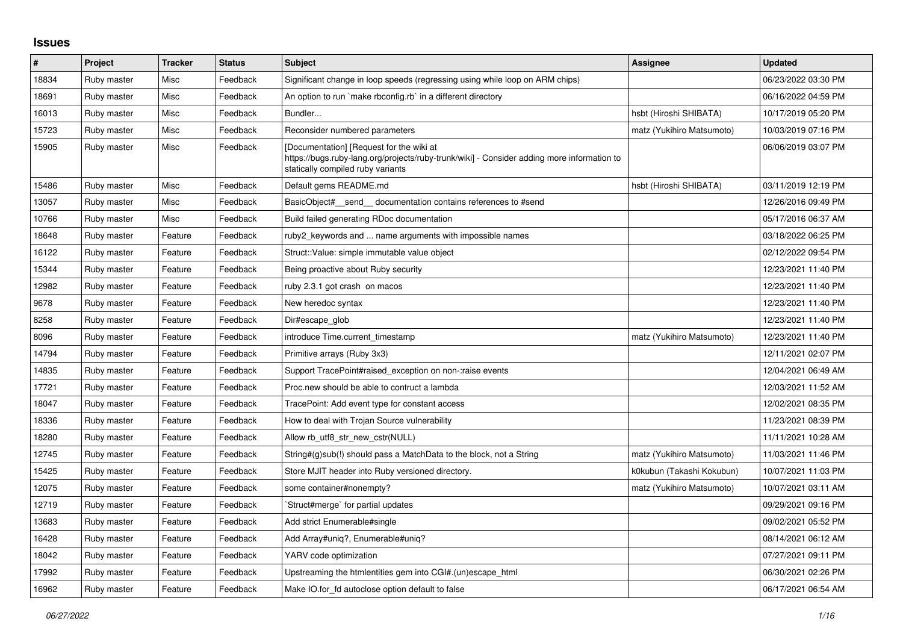## **Issues**

| #     | Project     | <b>Tracker</b> | <b>Status</b> | <b>Subject</b>                                                                                                                                                              | <b>Assignee</b>           | <b>Updated</b>      |
|-------|-------------|----------------|---------------|-----------------------------------------------------------------------------------------------------------------------------------------------------------------------------|---------------------------|---------------------|
| 18834 | Ruby master | Misc           | Feedback      | Significant change in loop speeds (regressing using while loop on ARM chips)                                                                                                |                           | 06/23/2022 03:30 PM |
| 18691 | Ruby master | Misc           | Feedback      | An option to run `make rbconfig.rb` in a different directory                                                                                                                |                           | 06/16/2022 04:59 PM |
| 16013 | Ruby master | Misc           | Feedback      | Bundler                                                                                                                                                                     | hsbt (Hiroshi SHIBATA)    | 10/17/2019 05:20 PM |
| 15723 | Ruby master | Misc           | Feedback      | Reconsider numbered parameters                                                                                                                                              | matz (Yukihiro Matsumoto) | 10/03/2019 07:16 PM |
| 15905 | Ruby master | Misc           | Feedback      | [Documentation] [Request for the wiki at<br>https://bugs.ruby-lang.org/projects/ruby-trunk/wiki] - Consider adding more information to<br>statically compiled ruby variants |                           | 06/06/2019 03:07 PM |
| 15486 | Ruby master | Misc           | Feedback      | Default gems README.md                                                                                                                                                      | hsbt (Hiroshi SHIBATA)    | 03/11/2019 12:19 PM |
| 13057 | Ruby master | Misc           | Feedback      | BasicObject# send documentation contains references to #send                                                                                                                |                           | 12/26/2016 09:49 PM |
| 10766 | Ruby master | Misc           | Feedback      | Build failed generating RDoc documentation                                                                                                                                  |                           | 05/17/2016 06:37 AM |
| 18648 | Ruby master | Feature        | Feedback      | ruby2_keywords and  name arguments with impossible names                                                                                                                    |                           | 03/18/2022 06:25 PM |
| 16122 | Ruby master | Feature        | Feedback      | Struct::Value: simple immutable value object                                                                                                                                |                           | 02/12/2022 09:54 PM |
| 15344 | Ruby master | Feature        | Feedback      | Being proactive about Ruby security                                                                                                                                         |                           | 12/23/2021 11:40 PM |
| 12982 | Ruby master | Feature        | Feedback      | ruby 2.3.1 got crash on macos                                                                                                                                               |                           | 12/23/2021 11:40 PM |
| 9678  | Ruby master | Feature        | Feedback      | New heredoc syntax                                                                                                                                                          |                           | 12/23/2021 11:40 PM |
| 8258  | Ruby master | Feature        | Feedback      | Dir#escape glob                                                                                                                                                             |                           | 12/23/2021 11:40 PM |
| 8096  | Ruby master | Feature        | Feedback      | introduce Time.current timestamp                                                                                                                                            | matz (Yukihiro Matsumoto) | 12/23/2021 11:40 PM |
| 14794 | Ruby master | Feature        | Feedback      | Primitive arrays (Ruby 3x3)                                                                                                                                                 |                           | 12/11/2021 02:07 PM |
| 14835 | Ruby master | Feature        | Feedback      | Support TracePoint#raised exception on non-traise events                                                                                                                    |                           | 12/04/2021 06:49 AM |
| 17721 | Ruby master | Feature        | Feedback      | Proc.new should be able to contruct a lambda                                                                                                                                |                           | 12/03/2021 11:52 AM |
| 18047 | Ruby master | Feature        | Feedback      | TracePoint: Add event type for constant access                                                                                                                              |                           | 12/02/2021 08:35 PM |
| 18336 | Ruby master | Feature        | Feedback      | How to deal with Trojan Source vulnerability                                                                                                                                |                           | 11/23/2021 08:39 PM |
| 18280 | Ruby master | Feature        | Feedback      | Allow rb utf8 str new cstr(NULL)                                                                                                                                            |                           | 11/11/2021 10:28 AM |
| 12745 | Ruby master | Feature        | Feedback      | String#(g)sub(!) should pass a MatchData to the block, not a String                                                                                                         | matz (Yukihiro Matsumoto) | 11/03/2021 11:46 PM |
| 15425 | Ruby master | Feature        | Feedback      | Store MJIT header into Ruby versioned directory.                                                                                                                            | k0kubun (Takashi Kokubun) | 10/07/2021 11:03 PM |
| 12075 | Ruby master | Feature        | Feedback      | some container#nonempty?                                                                                                                                                    | matz (Yukihiro Matsumoto) | 10/07/2021 03:11 AM |
| 12719 | Ruby master | Feature        | Feedback      | Struct#merge` for partial updates                                                                                                                                           |                           | 09/29/2021 09:16 PM |
| 13683 | Ruby master | Feature        | Feedback      | Add strict Enumerable#single                                                                                                                                                |                           | 09/02/2021 05:52 PM |
| 16428 | Ruby master | Feature        | Feedback      | Add Array#unig?, Enumerable#unig?                                                                                                                                           |                           | 08/14/2021 06:12 AM |
| 18042 | Ruby master | Feature        | Feedback      | YARV code optimization                                                                                                                                                      |                           | 07/27/2021 09:11 PM |
| 17992 | Ruby master | Feature        | Feedback      | Upstreaming the htmlentities gem into CGI#.(un)escape html                                                                                                                  |                           | 06/30/2021 02:26 PM |
| 16962 | Ruby master | Feature        | Feedback      | Make IO.for fd autoclose option default to false                                                                                                                            |                           | 06/17/2021 06:54 AM |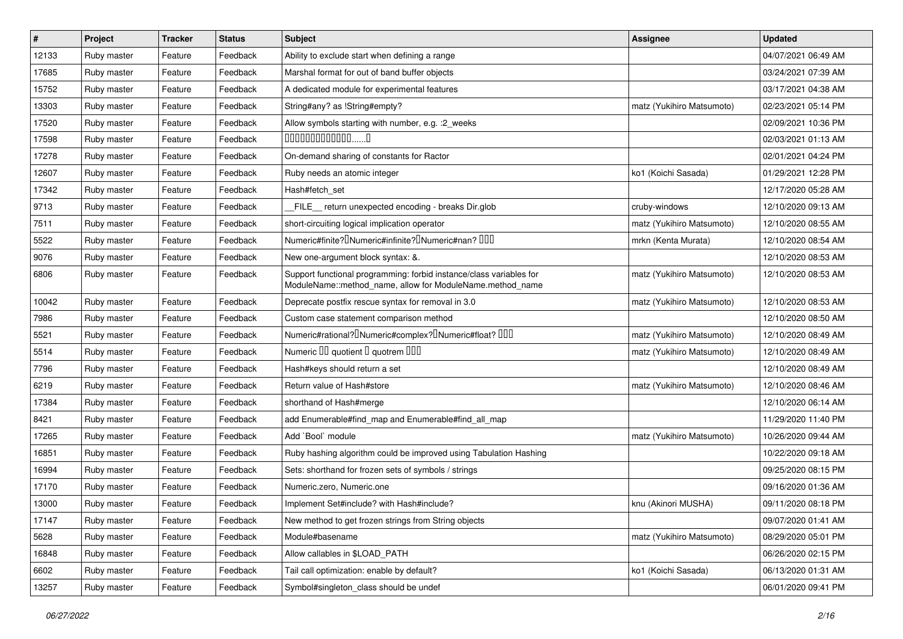| $\vert$ # | Project     | <b>Tracker</b> | <b>Status</b> | <b>Subject</b>                                                                                                                   | <b>Assignee</b>           | <b>Updated</b>      |
|-----------|-------------|----------------|---------------|----------------------------------------------------------------------------------------------------------------------------------|---------------------------|---------------------|
| 12133     | Ruby master | Feature        | Feedback      | Ability to exclude start when defining a range                                                                                   |                           | 04/07/2021 06:49 AM |
| 17685     | Ruby master | Feature        | Feedback      | Marshal format for out of band buffer objects                                                                                    |                           | 03/24/2021 07:39 AM |
| 15752     | Ruby master | Feature        | Feedback      | A dedicated module for experimental features                                                                                     |                           | 03/17/2021 04:38 AM |
| 13303     | Ruby master | Feature        | Feedback      | String#any? as !String#empty?                                                                                                    | matz (Yukihiro Matsumoto) | 02/23/2021 05:14 PM |
| 17520     | Ruby master | Feature        | Feedback      | Allow symbols starting with number, e.g. : 2_weeks                                                                               |                           | 02/09/2021 10:36 PM |
| 17598     | Ruby master | Feature        | Feedback      | $0000000000000010$                                                                                                               |                           | 02/03/2021 01:13 AM |
| 17278     | Ruby master | Feature        | Feedback      | On-demand sharing of constants for Ractor                                                                                        |                           | 02/01/2021 04:24 PM |
| 12607     | Ruby master | Feature        | Feedback      | Ruby needs an atomic integer                                                                                                     | ko1 (Koichi Sasada)       | 01/29/2021 12:28 PM |
| 17342     | Ruby master | Feature        | Feedback      | Hash#fetch set                                                                                                                   |                           | 12/17/2020 05:28 AM |
| 9713      | Ruby master | Feature        | Feedback      | FILE return unexpected encoding - breaks Dir.glob                                                                                | cruby-windows             | 12/10/2020 09:13 AM |
| 7511      | Ruby master | Feature        | Feedback      | short-circuiting logical implication operator                                                                                    | matz (Yukihiro Matsumoto) | 12/10/2020 08:55 AM |
| 5522      | Ruby master | Feature        | Feedback      | Numeric#finite? Numeric#infinite? Numeric#nan? 000                                                                               | mrkn (Kenta Murata)       | 12/10/2020 08:54 AM |
| 9076      | Ruby master | Feature        | Feedback      | New one-argument block syntax: &.                                                                                                |                           | 12/10/2020 08:53 AM |
| 6806      | Ruby master | Feature        | Feedback      | Support functional programming: forbid instance/class variables for<br>ModuleName::method_name, allow for ModuleName.method_name | matz (Yukihiro Matsumoto) | 12/10/2020 08:53 AM |
| 10042     | Ruby master | Feature        | Feedback      | Deprecate postfix rescue syntax for removal in 3.0                                                                               | matz (Yukihiro Matsumoto) | 12/10/2020 08:53 AM |
| 7986      | Ruby master | Feature        | Feedback      | Custom case statement comparison method                                                                                          |                           | 12/10/2020 08:50 AM |
| 5521      | Ruby master | Feature        | Feedback      | Numeric#rational? <sup>[</sup> ]Numeric#complex? <sup>[]</sup> Numeric#float? <sup>[10]</sup>                                    | matz (Yukihiro Matsumoto) | 12/10/2020 08:49 AM |
| 5514      | Ruby master | Feature        | Feedback      | Numeric III quotient II quotrem IIII                                                                                             | matz (Yukihiro Matsumoto) | 12/10/2020 08:49 AM |
| 7796      | Ruby master | Feature        | Feedback      | Hash#keys should return a set                                                                                                    |                           | 12/10/2020 08:49 AM |
| 6219      | Ruby master | Feature        | Feedback      | Return value of Hash#store                                                                                                       | matz (Yukihiro Matsumoto) | 12/10/2020 08:46 AM |
| 17384     | Ruby master | Feature        | Feedback      | shorthand of Hash#merge                                                                                                          |                           | 12/10/2020 06:14 AM |
| 8421      | Ruby master | Feature        | Feedback      | add Enumerable#find_map and Enumerable#find_all_map                                                                              |                           | 11/29/2020 11:40 PM |
| 17265     | Ruby master | Feature        | Feedback      | Add `Bool` module                                                                                                                | matz (Yukihiro Matsumoto) | 10/26/2020 09:44 AM |
| 16851     | Ruby master | Feature        | Feedback      | Ruby hashing algorithm could be improved using Tabulation Hashing                                                                |                           | 10/22/2020 09:18 AM |
| 16994     | Ruby master | Feature        | Feedback      | Sets: shorthand for frozen sets of symbols / strings                                                                             |                           | 09/25/2020 08:15 PM |
| 17170     | Ruby master | Feature        | Feedback      | Numeric.zero, Numeric.one                                                                                                        |                           | 09/16/2020 01:36 AM |
| 13000     | Ruby master | Feature        | Feedback      | Implement Set#include? with Hash#include?                                                                                        | knu (Akinori MUSHA)       | 09/11/2020 08:18 PM |
| 17147     | Ruby master | Feature        | Feedback      | New method to get frozen strings from String objects                                                                             |                           | 09/07/2020 01:41 AM |
| 5628      | Ruby master | Feature        | Feedback      | Module#basename                                                                                                                  | matz (Yukihiro Matsumoto) | 08/29/2020 05:01 PM |
| 16848     | Ruby master | Feature        | Feedback      | Allow callables in \$LOAD PATH                                                                                                   |                           | 06/26/2020 02:15 PM |
| 6602      | Ruby master | Feature        | Feedback      | Tail call optimization: enable by default?                                                                                       | ko1 (Koichi Sasada)       | 06/13/2020 01:31 AM |
| 13257     | Ruby master | Feature        | Feedback      | Symbol#singleton_class should be undef                                                                                           |                           | 06/01/2020 09:41 PM |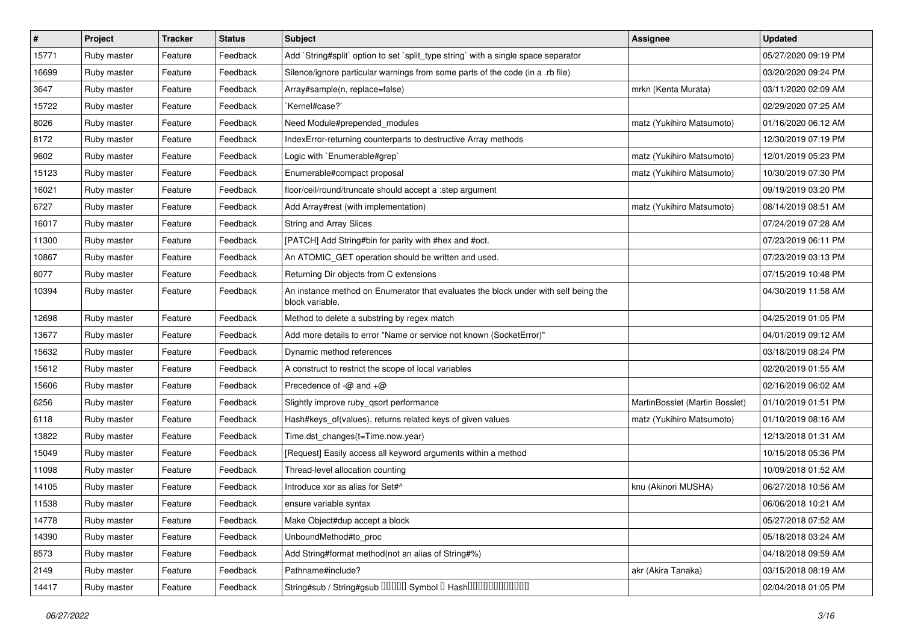| $\vert$ # | Project     | <b>Tracker</b> | <b>Status</b> | <b>Subject</b>                                                                                         | <b>Assignee</b>                | <b>Updated</b>      |
|-----------|-------------|----------------|---------------|--------------------------------------------------------------------------------------------------------|--------------------------------|---------------------|
| 15771     | Ruby master | Feature        | Feedback      | Add `String#split` option to set `split_type string` with a single space separator                     |                                | 05/27/2020 09:19 PM |
| 16699     | Ruby master | Feature        | Feedback      | Silence/ignore particular warnings from some parts of the code (in a .rb file)                         |                                | 03/20/2020 09:24 PM |
| 3647      | Ruby master | Feature        | Feedback      | Array#sample(n, replace=false)                                                                         | mrkn (Kenta Murata)            | 03/11/2020 02:09 AM |
| 15722     | Ruby master | Feature        | Feedback      | `Kernel#case?`                                                                                         |                                | 02/29/2020 07:25 AM |
| 8026      | Ruby master | Feature        | Feedback      | Need Module#prepended_modules                                                                          | matz (Yukihiro Matsumoto)      | 01/16/2020 06:12 AM |
| 8172      | Ruby master | Feature        | Feedback      | IndexError-returning counterparts to destructive Array methods                                         |                                | 12/30/2019 07:19 PM |
| 9602      | Ruby master | Feature        | Feedback      | Logic with `Enumerable#grep`                                                                           | matz (Yukihiro Matsumoto)      | 12/01/2019 05:23 PM |
| 15123     | Ruby master | Feature        | Feedback      | Enumerable#compact proposal                                                                            | matz (Yukihiro Matsumoto)      | 10/30/2019 07:30 PM |
| 16021     | Ruby master | Feature        | Feedback      | floor/ceil/round/truncate should accept a :step argument                                               |                                | 09/19/2019 03:20 PM |
| 6727      | Ruby master | Feature        | Feedback      | Add Array#rest (with implementation)                                                                   | matz (Yukihiro Matsumoto)      | 08/14/2019 08:51 AM |
| 16017     | Ruby master | Feature        | Feedback      | String and Array Slices                                                                                |                                | 07/24/2019 07:28 AM |
| 11300     | Ruby master | Feature        | Feedback      | [PATCH] Add String#bin for parity with #hex and #oct.                                                  |                                | 07/23/2019 06:11 PM |
| 10867     | Ruby master | Feature        | Feedback      | An ATOMIC_GET operation should be written and used.                                                    |                                | 07/23/2019 03:13 PM |
| 8077      | Ruby master | Feature        | Feedback      | Returning Dir objects from C extensions                                                                |                                | 07/15/2019 10:48 PM |
| 10394     | Ruby master | Feature        | Feedback      | An instance method on Enumerator that evaluates the block under with self being the<br>block variable. |                                | 04/30/2019 11:58 AM |
| 12698     | Ruby master | Feature        | Feedback      | Method to delete a substring by regex match                                                            |                                | 04/25/2019 01:05 PM |
| 13677     | Ruby master | Feature        | Feedback      | Add more details to error "Name or service not known (SocketError)"                                    |                                | 04/01/2019 09:12 AM |
| 15632     | Ruby master | Feature        | Feedback      | Dynamic method references                                                                              |                                | 03/18/2019 08:24 PM |
| 15612     | Ruby master | Feature        | Feedback      | A construct to restrict the scope of local variables                                                   |                                | 02/20/2019 01:55 AM |
| 15606     | Ruby master | Feature        | Feedback      | Precedence of $-\omega$ and $+\omega$                                                                  |                                | 02/16/2019 06:02 AM |
| 6256      | Ruby master | Feature        | Feedback      | Slightly improve ruby_qsort performance                                                                | MartinBosslet (Martin Bosslet) | 01/10/2019 01:51 PM |
| 6118      | Ruby master | Feature        | Feedback      | Hash#keys_of(values), returns related keys of given values                                             | matz (Yukihiro Matsumoto)      | 01/10/2019 08:16 AM |
| 13822     | Ruby master | Feature        | Feedback      | Time.dst_changes(t=Time.now.year)                                                                      |                                | 12/13/2018 01:31 AM |
| 15049     | Ruby master | Feature        | Feedback      | [Request] Easily access all keyword arguments within a method                                          |                                | 10/15/2018 05:36 PM |
| 11098     | Ruby master | Feature        | Feedback      | Thread-level allocation counting                                                                       |                                | 10/09/2018 01:52 AM |
| 14105     | Ruby master | Feature        | Feedback      | Introduce xor as alias for Set#^                                                                       | knu (Akinori MUSHA)            | 06/27/2018 10:56 AM |
| 11538     | Ruby master | Feature        | Feedback      | ensure variable syntax                                                                                 |                                | 06/06/2018 10:21 AM |
| 14778     | Ruby master | Feature        | Feedback      | Make Object#dup accept a block                                                                         |                                | 05/27/2018 07:52 AM |
| 14390     | Ruby master | Feature        | Feedback      | UnboundMethod#to proc                                                                                  |                                | 05/18/2018 03:24 AM |
| 8573      | Ruby master | Feature        | Feedback      | Add String#format method(not an alias of String#%)                                                     |                                | 04/18/2018 09:59 AM |
| 2149      | Ruby master | Feature        | Feedback      | Pathname#include?                                                                                      | akr (Akira Tanaka)             | 03/15/2018 08:19 AM |
| 14417     | Ruby master | Feature        | Feedback      | String#sub / String#gsub 00000 Symbol 0 Hash00000000000                                                |                                | 02/04/2018 01:05 PM |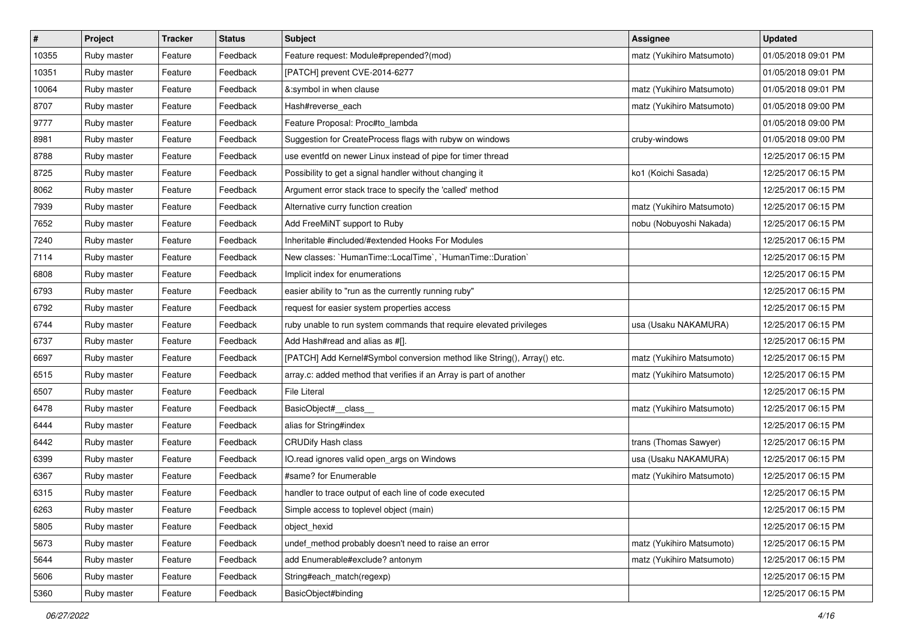| $\vert$ # | Project     | <b>Tracker</b> | <b>Status</b> | <b>Subject</b>                                                          | Assignee                  | <b>Updated</b>      |
|-----------|-------------|----------------|---------------|-------------------------------------------------------------------------|---------------------------|---------------------|
| 10355     | Ruby master | Feature        | Feedback      | Feature request: Module#prepended?(mod)                                 | matz (Yukihiro Matsumoto) | 01/05/2018 09:01 PM |
| 10351     | Ruby master | Feature        | Feedback      | [PATCH] prevent CVE-2014-6277                                           |                           | 01/05/2018 09:01 PM |
| 10064     | Ruby master | Feature        | Feedback      | &:symbol in when clause                                                 | matz (Yukihiro Matsumoto) | 01/05/2018 09:01 PM |
| 8707      | Ruby master | Feature        | Feedback      | Hash#reverse_each                                                       | matz (Yukihiro Matsumoto) | 01/05/2018 09:00 PM |
| 9777      | Ruby master | Feature        | Feedback      | Feature Proposal: Proc#to_lambda                                        |                           | 01/05/2018 09:00 PM |
| 8981      | Ruby master | Feature        | Feedback      | Suggestion for CreateProcess flags with rubyw on windows                | cruby-windows             | 01/05/2018 09:00 PM |
| 8788      | Ruby master | Feature        | Feedback      | use eventfd on newer Linux instead of pipe for timer thread             |                           | 12/25/2017 06:15 PM |
| 8725      | Ruby master | Feature        | Feedback      | Possibility to get a signal handler without changing it                 | ko1 (Koichi Sasada)       | 12/25/2017 06:15 PM |
| 8062      | Ruby master | Feature        | Feedback      | Argument error stack trace to specify the 'called' method               |                           | 12/25/2017 06:15 PM |
| 7939      | Ruby master | Feature        | Feedback      | Alternative curry function creation                                     | matz (Yukihiro Matsumoto) | 12/25/2017 06:15 PM |
| 7652      | Ruby master | Feature        | Feedback      | Add FreeMiNT support to Ruby                                            | nobu (Nobuyoshi Nakada)   | 12/25/2017 06:15 PM |
| 7240      | Ruby master | Feature        | Feedback      | Inheritable #included/#extended Hooks For Modules                       |                           | 12/25/2017 06:15 PM |
| 7114      | Ruby master | Feature        | Feedback      | New classes: `HumanTime::LocalTime`, `HumanTime::Duration`              |                           | 12/25/2017 06:15 PM |
| 6808      | Ruby master | Feature        | Feedback      | Implicit index for enumerations                                         |                           | 12/25/2017 06:15 PM |
| 6793      | Ruby master | Feature        | Feedback      | easier ability to "run as the currently running ruby"                   |                           | 12/25/2017 06:15 PM |
| 6792      | Ruby master | Feature        | Feedback      | request for easier system properties access                             |                           | 12/25/2017 06:15 PM |
| 6744      | Ruby master | Feature        | Feedback      | ruby unable to run system commands that require elevated privileges     | usa (Usaku NAKAMURA)      | 12/25/2017 06:15 PM |
| 6737      | Ruby master | Feature        | Feedback      | Add Hash#read and alias as #[].                                         |                           | 12/25/2017 06:15 PM |
| 6697      | Ruby master | Feature        | Feedback      | [PATCH] Add Kernel#Symbol conversion method like String(), Array() etc. | matz (Yukihiro Matsumoto) | 12/25/2017 06:15 PM |
| 6515      | Ruby master | Feature        | Feedback      | array.c: added method that verifies if an Array is part of another      | matz (Yukihiro Matsumoto) | 12/25/2017 06:15 PM |
| 6507      | Ruby master | Feature        | Feedback      | <b>File Literal</b>                                                     |                           | 12/25/2017 06:15 PM |
| 6478      | Ruby master | Feature        | Feedback      | BasicObject#_class_                                                     | matz (Yukihiro Matsumoto) | 12/25/2017 06:15 PM |
| 6444      | Ruby master | Feature        | Feedback      | alias for String#index                                                  |                           | 12/25/2017 06:15 PM |
| 6442      | Ruby master | Feature        | Feedback      | <b>CRUDify Hash class</b>                                               | trans (Thomas Sawyer)     | 12/25/2017 06:15 PM |
| 6399      | Ruby master | Feature        | Feedback      | IO.read ignores valid open_args on Windows                              | usa (Usaku NAKAMURA)      | 12/25/2017 06:15 PM |
| 6367      | Ruby master | Feature        | Feedback      | #same? for Enumerable                                                   | matz (Yukihiro Matsumoto) | 12/25/2017 06:15 PM |
| 6315      | Ruby master | Feature        | Feedback      | handler to trace output of each line of code executed                   |                           | 12/25/2017 06:15 PM |
| 6263      | Ruby master | Feature        | Feedback      | Simple access to toplevel object (main)                                 |                           | 12/25/2017 06:15 PM |
| 5805      | Ruby master | Feature        | Feedback      | object_hexid                                                            |                           | 12/25/2017 06:15 PM |
| 5673      | Ruby master | Feature        | Feedback      | undef_method probably doesn't need to raise an error                    | matz (Yukihiro Matsumoto) | 12/25/2017 06:15 PM |
| 5644      | Ruby master | Feature        | Feedback      | add Enumerable#exclude? antonym                                         | matz (Yukihiro Matsumoto) | 12/25/2017 06:15 PM |
| 5606      | Ruby master | Feature        | Feedback      | String#each_match(regexp)                                               |                           | 12/25/2017 06:15 PM |
| 5360      | Ruby master | Feature        | Feedback      | BasicObject#binding                                                     |                           | 12/25/2017 06:15 PM |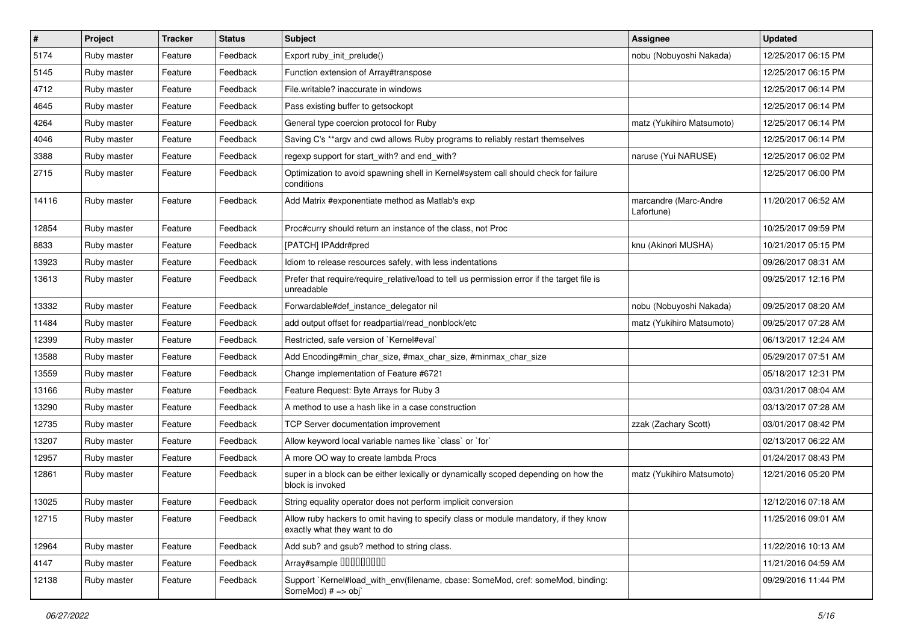| #     | Project     | <b>Tracker</b> | <b>Status</b> | Subject                                                                                                              | <b>Assignee</b>                     | <b>Updated</b>      |
|-------|-------------|----------------|---------------|----------------------------------------------------------------------------------------------------------------------|-------------------------------------|---------------------|
| 5174  | Ruby master | Feature        | Feedback      | Export ruby_init_prelude()                                                                                           | nobu (Nobuyoshi Nakada)             | 12/25/2017 06:15 PM |
| 5145  | Ruby master | Feature        | Feedback      | Function extension of Array#transpose                                                                                |                                     | 12/25/2017 06:15 PM |
| 4712  | Ruby master | Feature        | Feedback      | File.writable? inaccurate in windows                                                                                 |                                     | 12/25/2017 06:14 PM |
| 4645  | Ruby master | Feature        | Feedback      | Pass existing buffer to getsockopt                                                                                   |                                     | 12/25/2017 06:14 PM |
| 4264  | Ruby master | Feature        | Feedback      | General type coercion protocol for Ruby                                                                              | matz (Yukihiro Matsumoto)           | 12/25/2017 06:14 PM |
| 4046  | Ruby master | Feature        | Feedback      | Saving C's ** argv and cwd allows Ruby programs to reliably restart themselves                                       |                                     | 12/25/2017 06:14 PM |
| 3388  | Ruby master | Feature        | Feedback      | regexp support for start_with? and end_with?                                                                         | naruse (Yui NARUSE)                 | 12/25/2017 06:02 PM |
| 2715  | Ruby master | Feature        | Feedback      | Optimization to avoid spawning shell in Kernel#system call should check for failure<br>conditions                    |                                     | 12/25/2017 06:00 PM |
| 14116 | Ruby master | Feature        | Feedback      | Add Matrix #exponentiate method as Matlab's exp                                                                      | marcandre (Marc-Andre<br>Lafortune) | 11/20/2017 06:52 AM |
| 12854 | Ruby master | Feature        | Feedback      | Proc#curry should return an instance of the class, not Proc                                                          |                                     | 10/25/2017 09:59 PM |
| 8833  | Ruby master | Feature        | Feedback      | [PATCH] IPAddr#pred                                                                                                  | knu (Akinori MUSHA)                 | 10/21/2017 05:15 PM |
| 13923 | Ruby master | Feature        | Feedback      | Idiom to release resources safely, with less indentations                                                            |                                     | 09/26/2017 08:31 AM |
| 13613 | Ruby master | Feature        | Feedback      | Prefer that require/require_relative/load to tell us permission error if the target file is<br>unreadable            |                                     | 09/25/2017 12:16 PM |
| 13332 | Ruby master | Feature        | Feedback      | Forwardable#def_instance_delegator nil                                                                               | nobu (Nobuyoshi Nakada)             | 09/25/2017 08:20 AM |
| 11484 | Ruby master | Feature        | Feedback      | add output offset for readpartial/read_nonblock/etc                                                                  | matz (Yukihiro Matsumoto)           | 09/25/2017 07:28 AM |
| 12399 | Ruby master | Feature        | Feedback      | Restricted, safe version of `Kernel#eval`                                                                            |                                     | 06/13/2017 12:24 AM |
| 13588 | Ruby master | Feature        | Feedback      | Add Encoding#min_char_size, #max_char_size, #minmax_char_size                                                        |                                     | 05/29/2017 07:51 AM |
| 13559 | Ruby master | Feature        | Feedback      | Change implementation of Feature #6721                                                                               |                                     | 05/18/2017 12:31 PM |
| 13166 | Ruby master | Feature        | Feedback      | Feature Request: Byte Arrays for Ruby 3                                                                              |                                     | 03/31/2017 08:04 AM |
| 13290 | Ruby master | Feature        | Feedback      | A method to use a hash like in a case construction                                                                   |                                     | 03/13/2017 07:28 AM |
| 12735 | Ruby master | Feature        | Feedback      | <b>TCP Server documentation improvement</b>                                                                          | zzak (Zachary Scott)                | 03/01/2017 08:42 PM |
| 13207 | Ruby master | Feature        | Feedback      | Allow keyword local variable names like `class` or `for`                                                             |                                     | 02/13/2017 06:22 AM |
| 12957 | Ruby master | Feature        | Feedback      | A more OO way to create lambda Procs                                                                                 |                                     | 01/24/2017 08:43 PM |
| 12861 | Ruby master | Feature        | Feedback      | super in a block can be either lexically or dynamically scoped depending on how the<br>block is invoked              | matz (Yukihiro Matsumoto)           | 12/21/2016 05:20 PM |
| 13025 | Ruby master | Feature        | Feedback      | String equality operator does not perform implicit conversion                                                        |                                     | 12/12/2016 07:18 AM |
| 12715 | Ruby master | Feature        | Feedback      | Allow ruby hackers to omit having to specify class or module mandatory, if they know<br>exactly what they want to do |                                     | 11/25/2016 09:01 AM |
| 12964 | Ruby master | Feature        | Feedback      | Add sub? and gsub? method to string class.                                                                           |                                     | 11/22/2016 10:13 AM |
| 4147  | Ruby master | Feature        | Feedback      | Array#sample 00000000                                                                                                |                                     | 11/21/2016 04:59 AM |
| 12138 | Ruby master | Feature        | Feedback      | Support `Kernel#load_with_env(filename, cbase: SomeMod, cref: someMod, binding:<br>SomeMod) # => obj`                |                                     | 09/29/2016 11:44 PM |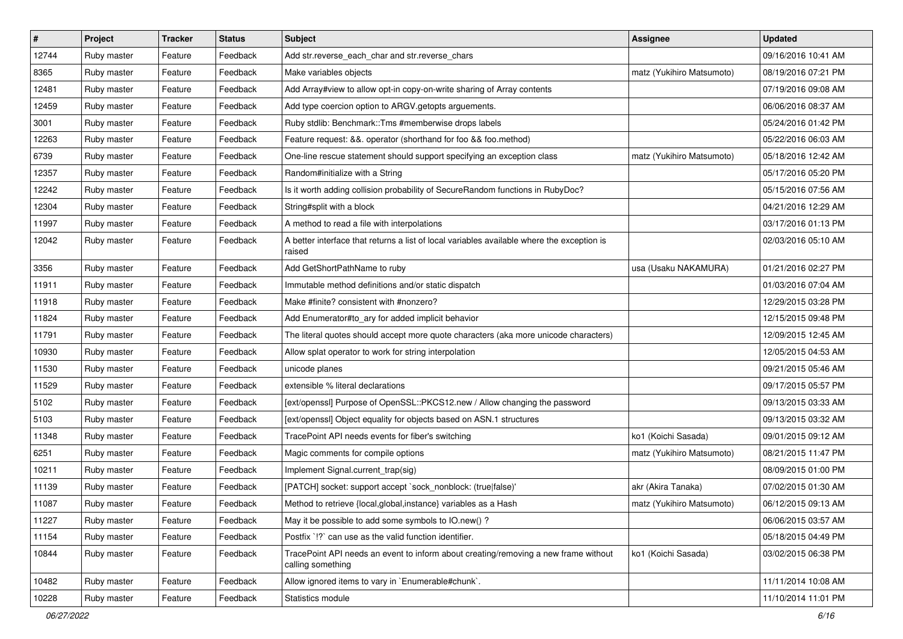| #     | Project     | <b>Tracker</b> | <b>Status</b> | Subject                                                                                                  | <b>Assignee</b>           | <b>Updated</b>      |
|-------|-------------|----------------|---------------|----------------------------------------------------------------------------------------------------------|---------------------------|---------------------|
| 12744 | Ruby master | Feature        | Feedback      | Add str.reverse_each_char and str.reverse_chars                                                          |                           | 09/16/2016 10:41 AM |
| 8365  | Ruby master | Feature        | Feedback      | Make variables objects                                                                                   | matz (Yukihiro Matsumoto) | 08/19/2016 07:21 PM |
| 12481 | Ruby master | Feature        | Feedback      | Add Array#view to allow opt-in copy-on-write sharing of Array contents                                   |                           | 07/19/2016 09:08 AM |
| 12459 | Ruby master | Feature        | Feedback      | Add type coercion option to ARGV getopts arguements.                                                     |                           | 06/06/2016 08:37 AM |
| 3001  | Ruby master | Feature        | Feedback      | Ruby stdlib: Benchmark::Tms #memberwise drops labels                                                     |                           | 05/24/2016 01:42 PM |
| 12263 | Ruby master | Feature        | Feedback      | Feature request: &&. operator (shorthand for foo && foo.method)                                          |                           | 05/22/2016 06:03 AM |
| 6739  | Ruby master | Feature        | Feedback      | One-line rescue statement should support specifying an exception class                                   | matz (Yukihiro Matsumoto) | 05/18/2016 12:42 AM |
| 12357 | Ruby master | Feature        | Feedback      | Random#initialize with a String                                                                          |                           | 05/17/2016 05:20 PM |
| 12242 | Ruby master | Feature        | Feedback      | Is it worth adding collision probability of SecureRandom functions in RubyDoc?                           |                           | 05/15/2016 07:56 AM |
| 12304 | Ruby master | Feature        | Feedback      | String#split with a block                                                                                |                           | 04/21/2016 12:29 AM |
| 11997 | Ruby master | Feature        | Feedback      | A method to read a file with interpolations                                                              |                           | 03/17/2016 01:13 PM |
| 12042 | Ruby master | Feature        | Feedback      | A better interface that returns a list of local variables available where the exception is<br>raised     |                           | 02/03/2016 05:10 AM |
| 3356  | Ruby master | Feature        | Feedback      | Add GetShortPathName to ruby                                                                             | usa (Usaku NAKAMURA)      | 01/21/2016 02:27 PM |
| 11911 | Ruby master | Feature        | Feedback      | Immutable method definitions and/or static dispatch                                                      |                           | 01/03/2016 07:04 AM |
| 11918 | Ruby master | Feature        | Feedback      | Make #finite? consistent with #nonzero?                                                                  |                           | 12/29/2015 03:28 PM |
| 11824 | Ruby master | Feature        | Feedback      | Add Enumerator#to_ary for added implicit behavior                                                        |                           | 12/15/2015 09:48 PM |
| 11791 | Ruby master | Feature        | Feedback      | The literal quotes should accept more quote characters (aka more unicode characters)                     |                           | 12/09/2015 12:45 AM |
| 10930 | Ruby master | Feature        | Feedback      | Allow splat operator to work for string interpolation                                                    |                           | 12/05/2015 04:53 AM |
| 11530 | Ruby master | Feature        | Feedback      | unicode planes                                                                                           |                           | 09/21/2015 05:46 AM |
| 11529 | Ruby master | Feature        | Feedback      | extensible % literal declarations                                                                        |                           | 09/17/2015 05:57 PM |
| 5102  | Ruby master | Feature        | Feedback      | [ext/openssl] Purpose of OpenSSL::PKCS12.new / Allow changing the password                               |                           | 09/13/2015 03:33 AM |
| 5103  | Ruby master | Feature        | Feedback      | [ext/openssl] Object equality for objects based on ASN.1 structures                                      |                           | 09/13/2015 03:32 AM |
| 11348 | Ruby master | Feature        | Feedback      | TracePoint API needs events for fiber's switching                                                        | ko1 (Koichi Sasada)       | 09/01/2015 09:12 AM |
| 6251  | Ruby master | Feature        | Feedback      | Magic comments for compile options                                                                       | matz (Yukihiro Matsumoto) | 08/21/2015 11:47 PM |
| 10211 | Ruby master | Feature        | Feedback      | Implement Signal.current_trap(sig)                                                                       |                           | 08/09/2015 01:00 PM |
| 11139 | Ruby master | Feature        | Feedback      | [PATCH] socket: support accept `sock_nonblock: (true false)'                                             | akr (Akira Tanaka)        | 07/02/2015 01:30 AM |
| 11087 | Ruby master | Feature        | Feedback      | Method to retrieve {local, global, instance} variables as a Hash                                         | matz (Yukihiro Matsumoto) | 06/12/2015 09:13 AM |
| 11227 | Ruby master | Feature        | Feedback      | May it be possible to add some symbols to IO.new()?                                                      |                           | 06/06/2015 03:57 AM |
| 11154 | Ruby master | Feature        | Feedback      | Postfix '!?' can use as the valid function identifier.                                                   |                           | 05/18/2015 04:49 PM |
| 10844 | Ruby master | Feature        | Feedback      | TracePoint API needs an event to inform about creating/removing a new frame without<br>calling something | ko1 (Koichi Sasada)       | 03/02/2015 06:38 PM |
| 10482 | Ruby master | Feature        | Feedback      | Allow ignored items to vary in `Enumerable#chunk`.                                                       |                           | 11/11/2014 10:08 AM |
| 10228 | Ruby master | Feature        | Feedback      | Statistics module                                                                                        |                           | 11/10/2014 11:01 PM |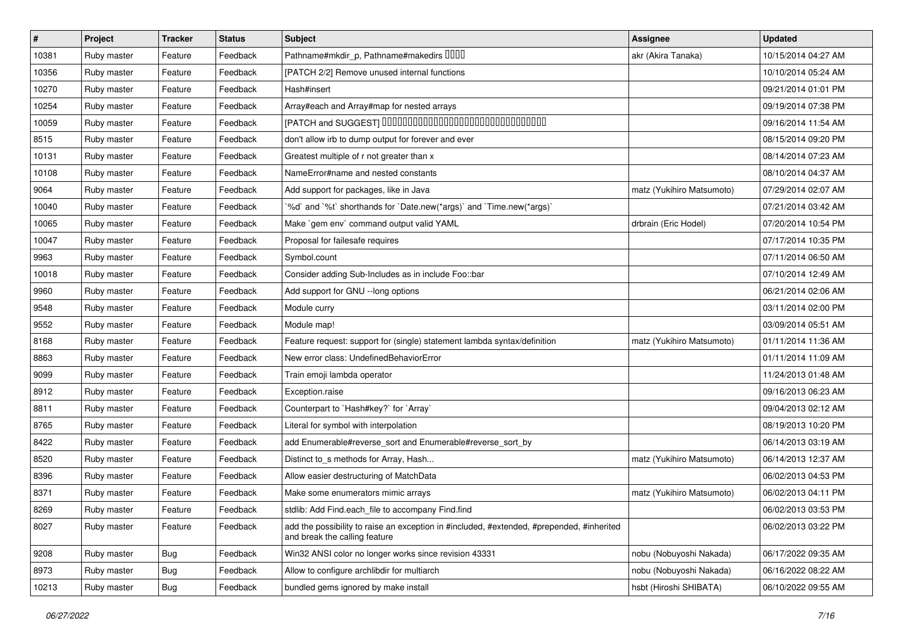| #     | Project     | <b>Tracker</b> | <b>Status</b> | <b>Subject</b>                                                                                                             | <b>Assignee</b>           | <b>Updated</b>      |
|-------|-------------|----------------|---------------|----------------------------------------------------------------------------------------------------------------------------|---------------------------|---------------------|
| 10381 | Ruby master | Feature        | Feedback      | Pathname#mkdir_p, Pathname#makedirs UUUU                                                                                   | akr (Akira Tanaka)        | 10/15/2014 04:27 AM |
| 10356 | Ruby master | Feature        | Feedback      | [PATCH 2/2] Remove unused internal functions                                                                               |                           | 10/10/2014 05:24 AM |
| 10270 | Ruby master | Feature        | Feedback      | Hash#insert                                                                                                                |                           | 09/21/2014 01:01 PM |
| 10254 | Ruby master | Feature        | Feedback      | Array#each and Array#map for nested arrays                                                                                 |                           | 09/19/2014 07:38 PM |
| 10059 | Ruby master | Feature        | Feedback      | [PATCH and SUGGEST] 0000000000000000000000000000000                                                                        |                           | 09/16/2014 11:54 AM |
| 8515  | Ruby master | Feature        | Feedback      | don't allow irb to dump output for forever and ever                                                                        |                           | 08/15/2014 09:20 PM |
| 10131 | Ruby master | Feature        | Feedback      | Greatest multiple of r not greater than x                                                                                  |                           | 08/14/2014 07:23 AM |
| 10108 | Ruby master | Feature        | Feedback      | NameError#name and nested constants                                                                                        |                           | 08/10/2014 04:37 AM |
| 9064  | Ruby master | Feature        | Feedback      | Add support for packages, like in Java                                                                                     | matz (Yukihiro Matsumoto) | 07/29/2014 02:07 AM |
| 10040 | Ruby master | Feature        | Feedback      | '%d' and '%t' shorthands for 'Date.new(*args)' and 'Time.new(*args)'                                                       |                           | 07/21/2014 03:42 AM |
| 10065 | Ruby master | Feature        | Feedback      | Make `gem env` command output valid YAML                                                                                   | drbrain (Eric Hodel)      | 07/20/2014 10:54 PM |
| 10047 | Ruby master | Feature        | Feedback      | Proposal for failesafe requires                                                                                            |                           | 07/17/2014 10:35 PM |
| 9963  | Ruby master | Feature        | Feedback      | Symbol.count                                                                                                               |                           | 07/11/2014 06:50 AM |
| 10018 | Ruby master | Feature        | Feedback      | Consider adding Sub-Includes as in include Foo::bar                                                                        |                           | 07/10/2014 12:49 AM |
| 9960  | Ruby master | Feature        | Feedback      | Add support for GNU --long options                                                                                         |                           | 06/21/2014 02:06 AM |
| 9548  | Ruby master | Feature        | Feedback      | Module curry                                                                                                               |                           | 03/11/2014 02:00 PM |
| 9552  | Ruby master | Feature        | Feedback      | Module map!                                                                                                                |                           | 03/09/2014 05:51 AM |
| 8168  | Ruby master | Feature        | Feedback      | Feature request: support for (single) statement lambda syntax/definition                                                   | matz (Yukihiro Matsumoto) | 01/11/2014 11:36 AM |
| 8863  | Ruby master | Feature        | Feedback      | New error class: UndefinedBehaviorError                                                                                    |                           | 01/11/2014 11:09 AM |
| 9099  | Ruby master | Feature        | Feedback      | Train emoji lambda operator                                                                                                |                           | 11/24/2013 01:48 AM |
| 8912  | Ruby master | Feature        | Feedback      | Exception.raise                                                                                                            |                           | 09/16/2013 06:23 AM |
| 8811  | Ruby master | Feature        | Feedback      | Counterpart to `Hash#key?` for `Array`                                                                                     |                           | 09/04/2013 02:12 AM |
| 8765  | Ruby master | Feature        | Feedback      | Literal for symbol with interpolation                                                                                      |                           | 08/19/2013 10:20 PM |
| 8422  | Ruby master | Feature        | Feedback      | add Enumerable#reverse_sort and Enumerable#reverse_sort_by                                                                 |                           | 06/14/2013 03:19 AM |
| 8520  | Ruby master | Feature        | Feedback      | Distinct to_s methods for Array, Hash                                                                                      | matz (Yukihiro Matsumoto) | 06/14/2013 12:37 AM |
| 8396  | Ruby master | Feature        | Feedback      | Allow easier destructuring of MatchData                                                                                    |                           | 06/02/2013 04:53 PM |
| 8371  | Ruby master | Feature        | Feedback      | Make some enumerators mimic arrays                                                                                         | matz (Yukihiro Matsumoto) | 06/02/2013 04:11 PM |
| 8269  | Ruby master | Feature        | Feedback      | stdlib: Add Find.each_file to accompany Find.find                                                                          |                           | 06/02/2013 03:53 PM |
| 8027  | Ruby master | Feature        | Feedback      | add the possibility to raise an exception in #included, #extended, #prepended, #inherited<br>and break the calling feature |                           | 06/02/2013 03:22 PM |
| 9208  | Ruby master | <b>Bug</b>     | Feedback      | Win32 ANSI color no longer works since revision 43331                                                                      | nobu (Nobuyoshi Nakada)   | 06/17/2022 09:35 AM |
| 8973  | Ruby master | Bug            | Feedback      | Allow to configure archlibdir for multiarch                                                                                | nobu (Nobuyoshi Nakada)   | 06/16/2022 08:22 AM |
| 10213 | Ruby master | Bug            | Feedback      | bundled gems ignored by make install                                                                                       | hsbt (Hiroshi SHIBATA)    | 06/10/2022 09:55 AM |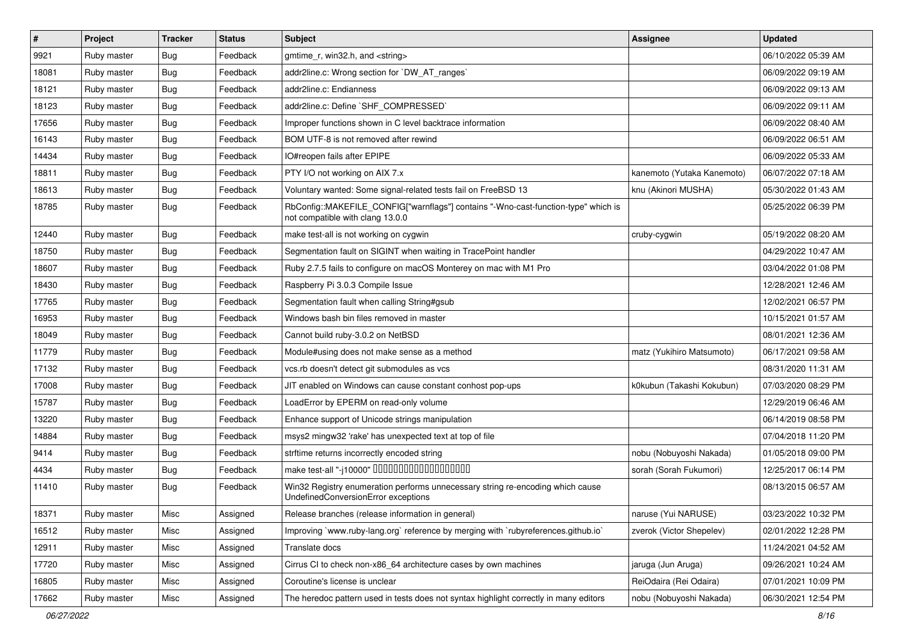| $\sharp$ | Project     | <b>Tracker</b> | <b>Status</b> | <b>Subject</b>                                                                                                         | Assignee                   | <b>Updated</b>      |
|----------|-------------|----------------|---------------|------------------------------------------------------------------------------------------------------------------------|----------------------------|---------------------|
| 9921     | Ruby master | Bug            | Feedback      | gmtime r, win32.h, and <string></string>                                                                               |                            | 06/10/2022 05:39 AM |
| 18081    | Ruby master | Bug            | Feedback      | addr2line.c: Wrong section for `DW_AT_ranges`                                                                          |                            | 06/09/2022 09:19 AM |
| 18121    | Ruby master | <b>Bug</b>     | Feedback      | addr2line.c: Endianness                                                                                                |                            | 06/09/2022 09:13 AM |
| 18123    | Ruby master | <b>Bug</b>     | Feedback      | addr2line.c: Define `SHF_COMPRESSED`                                                                                   |                            | 06/09/2022 09:11 AM |
| 17656    | Ruby master | <b>Bug</b>     | Feedback      | Improper functions shown in C level backtrace information                                                              |                            | 06/09/2022 08:40 AM |
| 16143    | Ruby master | <b>Bug</b>     | Feedback      | BOM UTF-8 is not removed after rewind                                                                                  |                            | 06/09/2022 06:51 AM |
| 14434    | Ruby master | Bug            | Feedback      | IO#reopen fails after EPIPE                                                                                            |                            | 06/09/2022 05:33 AM |
| 18811    | Ruby master | Bug            | Feedback      | PTY I/O not working on AIX 7.x                                                                                         | kanemoto (Yutaka Kanemoto) | 06/07/2022 07:18 AM |
| 18613    | Ruby master | <b>Bug</b>     | Feedback      | Voluntary wanted: Some signal-related tests fail on FreeBSD 13                                                         | knu (Akinori MUSHA)        | 05/30/2022 01:43 AM |
| 18785    | Ruby master | Bug            | Feedback      | RbConfig::MAKEFILE_CONFIG["warnflags"] contains "-Wno-cast-function-type" which is<br>not compatible with clang 13.0.0 |                            | 05/25/2022 06:39 PM |
| 12440    | Ruby master | Bug            | Feedback      | make test-all is not working on cygwin                                                                                 | cruby-cygwin               | 05/19/2022 08:20 AM |
| 18750    | Ruby master | <b>Bug</b>     | Feedback      | Segmentation fault on SIGINT when waiting in TracePoint handler                                                        |                            | 04/29/2022 10:47 AM |
| 18607    | Ruby master | <b>Bug</b>     | Feedback      | Ruby 2.7.5 fails to configure on macOS Monterey on mac with M1 Pro                                                     |                            | 03/04/2022 01:08 PM |
| 18430    | Ruby master | <b>Bug</b>     | Feedback      | Raspberry Pi 3.0.3 Compile Issue                                                                                       |                            | 12/28/2021 12:46 AM |
| 17765    | Ruby master | Bug            | Feedback      | Segmentation fault when calling String#gsub                                                                            |                            | 12/02/2021 06:57 PM |
| 16953    | Ruby master | Bug            | Feedback      | Windows bash bin files removed in master                                                                               |                            | 10/15/2021 01:57 AM |
| 18049    | Ruby master | <b>Bug</b>     | Feedback      | Cannot build ruby-3.0.2 on NetBSD                                                                                      |                            | 08/01/2021 12:36 AM |
| 11779    | Ruby master | <b>Bug</b>     | Feedback      | Module#using does not make sense as a method                                                                           | matz (Yukihiro Matsumoto)  | 06/17/2021 09:58 AM |
| 17132    | Ruby master | <b>Bug</b>     | Feedback      | vcs.rb doesn't detect git submodules as vcs                                                                            |                            | 08/31/2020 11:31 AM |
| 17008    | Ruby master | Bug            | Feedback      | JIT enabled on Windows can cause constant conhost pop-ups                                                              | k0kubun (Takashi Kokubun)  | 07/03/2020 08:29 PM |
| 15787    | Ruby master | <b>Bug</b>     | Feedback      | LoadError by EPERM on read-only volume                                                                                 |                            | 12/29/2019 06:46 AM |
| 13220    | Ruby master | <b>Bug</b>     | Feedback      | Enhance support of Unicode strings manipulation                                                                        |                            | 06/14/2019 08:58 PM |
| 14884    | Ruby master | <b>Bug</b>     | Feedback      | msys2 mingw32 'rake' has unexpected text at top of file                                                                |                            | 07/04/2018 11:20 PM |
| 9414     | Ruby master | Bug            | Feedback      | strftime returns incorrectly encoded string                                                                            | nobu (Nobuyoshi Nakada)    | 01/05/2018 09:00 PM |
| 4434     | Ruby master | Bug            | Feedback      | make test-all "-j10000" DODODODODODODODODO                                                                             | sorah (Sorah Fukumori)     | 12/25/2017 06:14 PM |
| 11410    | Ruby master | <b>Bug</b>     | Feedback      | Win32 Registry enumeration performs unnecessary string re-encoding which cause<br>UndefinedConversionError exceptions  |                            | 08/13/2015 06:57 AM |
| 18371    | Ruby master | Misc           | Assigned      | Release branches (release information in general)                                                                      | naruse (Yui NARUSE)        | 03/23/2022 10:32 PM |
| 16512    | Ruby master | Misc           | Assigned      | Improving `www.ruby-lang.org` reference by merging with `rubyreferences.github.io`                                     | zverok (Victor Shepelev)   | 02/01/2022 12:28 PM |
| 12911    | Ruby master | Misc           | Assigned      | Translate docs                                                                                                         |                            | 11/24/2021 04:52 AM |
| 17720    | Ruby master | Misc           | Assigned      | Cirrus CI to check non-x86 64 architecture cases by own machines                                                       | jaruga (Jun Aruga)         | 09/26/2021 10:24 AM |
| 16805    | Ruby master | Misc           | Assigned      | Coroutine's license is unclear                                                                                         | ReiOdaira (Rei Odaira)     | 07/01/2021 10:09 PM |
| 17662    | Ruby master | Misc           | Assigned      | The heredoc pattern used in tests does not syntax highlight correctly in many editors                                  | nobu (Nobuyoshi Nakada)    | 06/30/2021 12:54 PM |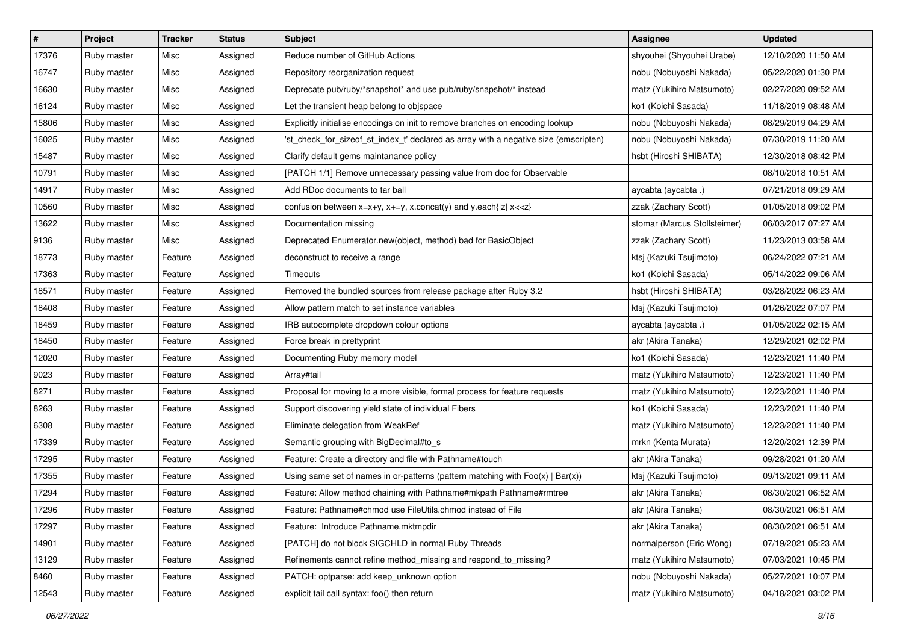| $\vert$ # | Project     | <b>Tracker</b> | <b>Status</b> | <b>Subject</b>                                                                                                                          | <b>Assignee</b>              | <b>Updated</b>      |
|-----------|-------------|----------------|---------------|-----------------------------------------------------------------------------------------------------------------------------------------|------------------------------|---------------------|
| 17376     | Ruby master | Misc           | Assigned      | Reduce number of GitHub Actions                                                                                                         | shyouhei (Shyouhei Urabe)    | 12/10/2020 11:50 AM |
| 16747     | Ruby master | Misc           | Assigned      | Repository reorganization request                                                                                                       | nobu (Nobuyoshi Nakada)      | 05/22/2020 01:30 PM |
| 16630     | Ruby master | Misc           | Assigned      | Deprecate pub/ruby/*snapshot* and use pub/ruby/snapshot/* instead                                                                       | matz (Yukihiro Matsumoto)    | 02/27/2020 09:52 AM |
| 16124     | Ruby master | Misc           | Assigned      | Let the transient heap belong to objspace                                                                                               | ko1 (Koichi Sasada)          | 11/18/2019 08:48 AM |
| 15806     | Ruby master | Misc           | Assigned      | Explicitly initialise encodings on init to remove branches on encoding lookup                                                           | nobu (Nobuyoshi Nakada)      | 08/29/2019 04:29 AM |
| 16025     | Ruby master | Misc           | Assigned      | 'st_check_for_sizeof_st_index_t' declared as array with a negative size (emscripten)                                                    | nobu (Nobuyoshi Nakada)      | 07/30/2019 11:20 AM |
| 15487     | Ruby master | Misc           | Assigned      | Clarify default gems maintanance policy                                                                                                 | hsbt (Hiroshi SHIBATA)       | 12/30/2018 08:42 PM |
| 10791     | Ruby master | Misc           | Assigned      | [PATCH 1/1] Remove unnecessary passing value from doc for Observable                                                                    |                              | 08/10/2018 10:51 AM |
| 14917     | Ruby master | Misc           | Assigned      | Add RDoc documents to tar ball                                                                                                          | aycabta (aycabta .)          | 07/21/2018 09:29 AM |
| 10560     | Ruby master | Misc           | Assigned      | confusion between x=x+y, x+=y, x.concat(y) and y.each{ z  x< <z}< td=""><td>zzak (Zachary Scott)</td><td>01/05/2018 09:02 PM</td></z}<> | zzak (Zachary Scott)         | 01/05/2018 09:02 PM |
| 13622     | Ruby master | Misc           | Assigned      | Documentation missing                                                                                                                   | stomar (Marcus Stollsteimer) | 06/03/2017 07:27 AM |
| 9136      | Ruby master | Misc           | Assigned      | Deprecated Enumerator.new(object, method) bad for BasicObject                                                                           | zzak (Zachary Scott)         | 11/23/2013 03:58 AM |
| 18773     | Ruby master | Feature        | Assigned      | deconstruct to receive a range                                                                                                          | ktsj (Kazuki Tsujimoto)      | 06/24/2022 07:21 AM |
| 17363     | Ruby master | Feature        | Assigned      | Timeouts                                                                                                                                | ko1 (Koichi Sasada)          | 05/14/2022 09:06 AM |
| 18571     | Ruby master | Feature        | Assigned      | Removed the bundled sources from release package after Ruby 3.2                                                                         | hsbt (Hiroshi SHIBATA)       | 03/28/2022 06:23 AM |
| 18408     | Ruby master | Feature        | Assigned      | Allow pattern match to set instance variables                                                                                           | ktsj (Kazuki Tsujimoto)      | 01/26/2022 07:07 PM |
| 18459     | Ruby master | Feature        | Assigned      | IRB autocomplete dropdown colour options                                                                                                | aycabta (aycabta.)           | 01/05/2022 02:15 AM |
| 18450     | Ruby master | Feature        | Assigned      | Force break in prettyprint                                                                                                              | akr (Akira Tanaka)           | 12/29/2021 02:02 PM |
| 12020     | Ruby master | Feature        | Assigned      | Documenting Ruby memory model                                                                                                           | ko1 (Koichi Sasada)          | 12/23/2021 11:40 PM |
| 9023      | Ruby master | Feature        | Assigned      | Array#tail                                                                                                                              | matz (Yukihiro Matsumoto)    | 12/23/2021 11:40 PM |
| 8271      | Ruby master | Feature        | Assigned      | Proposal for moving to a more visible, formal process for feature requests                                                              | matz (Yukihiro Matsumoto)    | 12/23/2021 11:40 PM |
| 8263      | Ruby master | Feature        | Assigned      | Support discovering yield state of individual Fibers                                                                                    | ko1 (Koichi Sasada)          | 12/23/2021 11:40 PM |
| 6308      | Ruby master | Feature        | Assigned      | Eliminate delegation from WeakRef                                                                                                       | matz (Yukihiro Matsumoto)    | 12/23/2021 11:40 PM |
| 17339     | Ruby master | Feature        | Assigned      | Semantic grouping with BigDecimal#to_s                                                                                                  | mrkn (Kenta Murata)          | 12/20/2021 12:39 PM |
| 17295     | Ruby master | Feature        | Assigned      | Feature: Create a directory and file with Pathname#touch                                                                                | akr (Akira Tanaka)           | 09/28/2021 01:20 AM |
| 17355     | Ruby master | Feature        | Assigned      | Using same set of names in or-patterns (pattern matching with $Foo(x)   Bar(x)$ )                                                       | ktsj (Kazuki Tsujimoto)      | 09/13/2021 09:11 AM |
| 17294     | Ruby master | Feature        | Assigned      | Feature: Allow method chaining with Pathname#mkpath Pathname#rmtree                                                                     | akr (Akira Tanaka)           | 08/30/2021 06:52 AM |
| 17296     | Ruby master | Feature        | Assigned      | Feature: Pathname#chmod use FileUtils.chmod instead of File                                                                             | akr (Akira Tanaka)           | 08/30/2021 06:51 AM |
| 17297     | Ruby master | Feature        | Assigned      | Feature: Introduce Pathname.mktmpdir                                                                                                    | akr (Akira Tanaka)           | 08/30/2021 06:51 AM |
| 14901     | Ruby master | Feature        | Assigned      | [PATCH] do not block SIGCHLD in normal Ruby Threads                                                                                     | normalperson (Eric Wong)     | 07/19/2021 05:23 AM |
| 13129     | Ruby master | Feature        | Assigned      | Refinements cannot refine method_missing and respond_to_missing?                                                                        | matz (Yukihiro Matsumoto)    | 07/03/2021 10:45 PM |
| 8460      | Ruby master | Feature        | Assigned      | PATCH: optparse: add keep_unknown option                                                                                                | nobu (Nobuyoshi Nakada)      | 05/27/2021 10:07 PM |
| 12543     | Ruby master | Feature        | Assigned      | explicit tail call syntax: foo() then return                                                                                            | matz (Yukihiro Matsumoto)    | 04/18/2021 03:02 PM |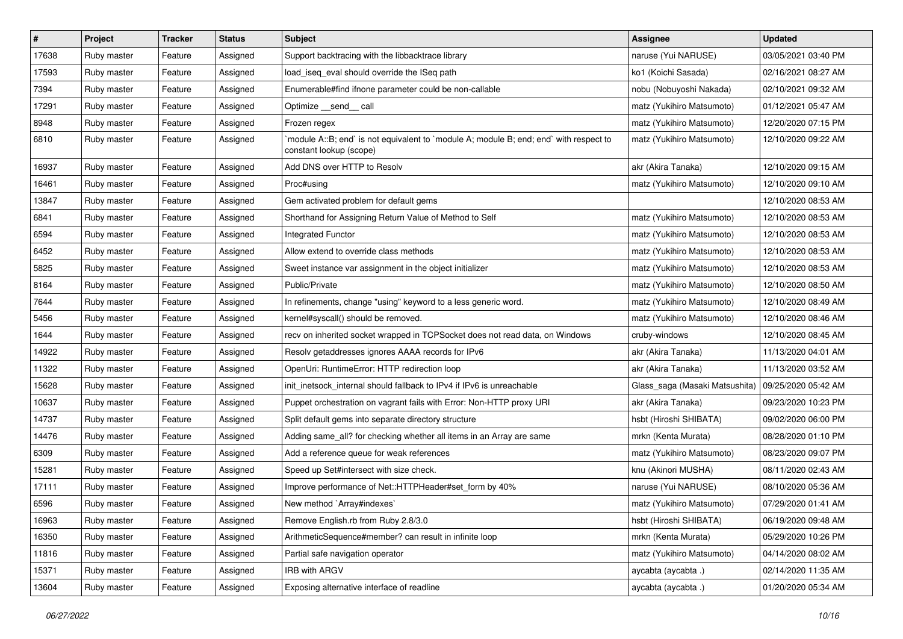| $\sharp$ | Project     | <b>Tracker</b> | <b>Status</b> | Subject                                                                                                          | Assignee                       | <b>Updated</b>      |
|----------|-------------|----------------|---------------|------------------------------------------------------------------------------------------------------------------|--------------------------------|---------------------|
| 17638    | Ruby master | Feature        | Assigned      | Support backtracing with the libbacktrace library                                                                | naruse (Yui NARUSE)            | 03/05/2021 03:40 PM |
| 17593    | Ruby master | Feature        | Assigned      | load_iseq_eval should override the ISeq path                                                                     | ko1 (Koichi Sasada)            | 02/16/2021 08:27 AM |
| 7394     | Ruby master | Feature        | Assigned      | Enumerable#find ifnone parameter could be non-callable                                                           | nobu (Nobuyoshi Nakada)        | 02/10/2021 09:32 AM |
| 17291    | Ruby master | Feature        | Assigned      | Optimize __send__ call                                                                                           | matz (Yukihiro Matsumoto)      | 01/12/2021 05:47 AM |
| 8948     | Ruby master | Feature        | Assigned      | Frozen regex                                                                                                     | matz (Yukihiro Matsumoto)      | 12/20/2020 07:15 PM |
| 6810     | Ruby master | Feature        | Assigned      | module A::B; end` is not equivalent to `module A; module B; end; end` with respect to<br>constant lookup (scope) | matz (Yukihiro Matsumoto)      | 12/10/2020 09:22 AM |
| 16937    | Ruby master | Feature        | Assigned      | Add DNS over HTTP to Resolv                                                                                      | akr (Akira Tanaka)             | 12/10/2020 09:15 AM |
| 16461    | Ruby master | Feature        | Assigned      | Proc#using                                                                                                       | matz (Yukihiro Matsumoto)      | 12/10/2020 09:10 AM |
| 13847    | Ruby master | Feature        | Assigned      | Gem activated problem for default gems                                                                           |                                | 12/10/2020 08:53 AM |
| 6841     | Ruby master | Feature        | Assigned      | Shorthand for Assigning Return Value of Method to Self                                                           | matz (Yukihiro Matsumoto)      | 12/10/2020 08:53 AM |
| 6594     | Ruby master | Feature        | Assigned      | Integrated Functor                                                                                               | matz (Yukihiro Matsumoto)      | 12/10/2020 08:53 AM |
| 6452     | Ruby master | Feature        | Assigned      | Allow extend to override class methods                                                                           | matz (Yukihiro Matsumoto)      | 12/10/2020 08:53 AM |
| 5825     | Ruby master | Feature        | Assigned      | Sweet instance var assignment in the object initializer                                                          | matz (Yukihiro Matsumoto)      | 12/10/2020 08:53 AM |
| 8164     | Ruby master | Feature        | Assigned      | Public/Private                                                                                                   | matz (Yukihiro Matsumoto)      | 12/10/2020 08:50 AM |
| 7644     | Ruby master | Feature        | Assigned      | In refinements, change "using" keyword to a less generic word.                                                   | matz (Yukihiro Matsumoto)      | 12/10/2020 08:49 AM |
| 5456     | Ruby master | Feature        | Assigned      | kernel#syscall() should be removed.                                                                              | matz (Yukihiro Matsumoto)      | 12/10/2020 08:46 AM |
| 1644     | Ruby master | Feature        | Assigned      | recv on inherited socket wrapped in TCPSocket does not read data, on Windows                                     | cruby-windows                  | 12/10/2020 08:45 AM |
| 14922    | Ruby master | Feature        | Assigned      | Resolv getaddresses ignores AAAA records for IPv6                                                                | akr (Akira Tanaka)             | 11/13/2020 04:01 AM |
| 11322    | Ruby master | Feature        | Assigned      | OpenUri: RuntimeError: HTTP redirection loop                                                                     | akr (Akira Tanaka)             | 11/13/2020 03:52 AM |
| 15628    | Ruby master | Feature        | Assigned      | init_inetsock_internal should fallback to IPv4 if IPv6 is unreachable                                            | Glass_saga (Masaki Matsushita) | 09/25/2020 05:42 AM |
| 10637    | Ruby master | Feature        | Assigned      | Puppet orchestration on vagrant fails with Error: Non-HTTP proxy URI                                             | akr (Akira Tanaka)             | 09/23/2020 10:23 PM |
| 14737    | Ruby master | Feature        | Assigned      | Split default gems into separate directory structure                                                             | hsbt (Hiroshi SHIBATA)         | 09/02/2020 06:00 PM |
| 14476    | Ruby master | Feature        | Assigned      | Adding same_all? for checking whether all items in an Array are same                                             | mrkn (Kenta Murata)            | 08/28/2020 01:10 PM |
| 6309     | Ruby master | Feature        | Assigned      | Add a reference queue for weak references                                                                        | matz (Yukihiro Matsumoto)      | 08/23/2020 09:07 PM |
| 15281    | Ruby master | Feature        | Assigned      | Speed up Set#intersect with size check.                                                                          | knu (Akinori MUSHA)            | 08/11/2020 02:43 AM |
| 17111    | Ruby master | Feature        | Assigned      | Improve performance of Net::HTTPHeader#set_form by 40%                                                           | naruse (Yui NARUSE)            | 08/10/2020 05:36 AM |
| 6596     | Ruby master | Feature        | Assigned      | New method `Array#indexes`                                                                                       | matz (Yukihiro Matsumoto)      | 07/29/2020 01:41 AM |
| 16963    | Ruby master | Feature        | Assigned      | Remove English.rb from Ruby 2.8/3.0                                                                              | hsbt (Hiroshi SHIBATA)         | 06/19/2020 09:48 AM |
| 16350    | Ruby master | Feature        | Assigned      | ArithmeticSequence#member? can result in infinite loop                                                           | mrkn (Kenta Murata)            | 05/29/2020 10:26 PM |
| 11816    | Ruby master | Feature        | Assigned      | Partial safe navigation operator                                                                                 | matz (Yukihiro Matsumoto)      | 04/14/2020 08:02 AM |
| 15371    | Ruby master | Feature        | Assigned      | IRB with ARGV                                                                                                    | aycabta (aycabta .)            | 02/14/2020 11:35 AM |
| 13604    | Ruby master | Feature        | Assigned      | Exposing alternative interface of readline                                                                       | aycabta (aycabta .)            | 01/20/2020 05:34 AM |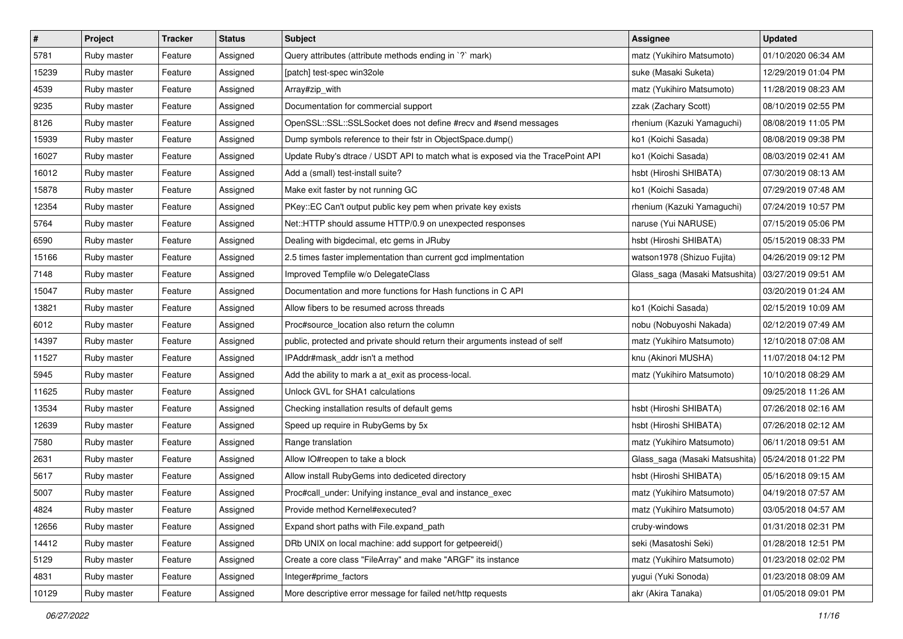| $\vert$ # | Project     | <b>Tracker</b> | <b>Status</b> | <b>Subject</b>                                                                  | <b>Assignee</b>                | <b>Updated</b>      |
|-----------|-------------|----------------|---------------|---------------------------------------------------------------------------------|--------------------------------|---------------------|
| 5781      | Ruby master | Feature        | Assigned      | Query attributes (attribute methods ending in `?` mark)                         | matz (Yukihiro Matsumoto)      | 01/10/2020 06:34 AM |
| 15239     | Ruby master | Feature        | Assigned      | [patch] test-spec win32ole                                                      | suke (Masaki Suketa)           | 12/29/2019 01:04 PM |
| 4539      | Ruby master | Feature        | Assigned      | Array#zip_with                                                                  | matz (Yukihiro Matsumoto)      | 11/28/2019 08:23 AM |
| 9235      | Ruby master | Feature        | Assigned      | Documentation for commercial support                                            | zzak (Zachary Scott)           | 08/10/2019 02:55 PM |
| 8126      | Ruby master | Feature        | Assigned      | OpenSSL::SSL::SSLSocket does not define #recv and #send messages                | rhenium (Kazuki Yamaguchi)     | 08/08/2019 11:05 PM |
| 15939     | Ruby master | Feature        | Assigned      | Dump symbols reference to their fstr in ObjectSpace.dump()                      | ko1 (Koichi Sasada)            | 08/08/2019 09:38 PM |
| 16027     | Ruby master | Feature        | Assigned      | Update Ruby's dtrace / USDT API to match what is exposed via the TracePoint API | ko1 (Koichi Sasada)            | 08/03/2019 02:41 AM |
| 16012     | Ruby master | Feature        | Assigned      | Add a (small) test-install suite?                                               | hsbt (Hiroshi SHIBATA)         | 07/30/2019 08:13 AM |
| 15878     | Ruby master | Feature        | Assigned      | Make exit faster by not running GC                                              | ko1 (Koichi Sasada)            | 07/29/2019 07:48 AM |
| 12354     | Ruby master | Feature        | Assigned      | PKey::EC Can't output public key pem when private key exists                    | rhenium (Kazuki Yamaguchi)     | 07/24/2019 10:57 PM |
| 5764      | Ruby master | Feature        | Assigned      | Net::HTTP should assume HTTP/0.9 on unexpected responses                        | naruse (Yui NARUSE)            | 07/15/2019 05:06 PM |
| 6590      | Ruby master | Feature        | Assigned      | Dealing with bigdecimal, etc gems in JRuby                                      | hsbt (Hiroshi SHIBATA)         | 05/15/2019 08:33 PM |
| 15166     | Ruby master | Feature        | Assigned      | 2.5 times faster implementation than current gcd implmentation                  | watson1978 (Shizuo Fujita)     | 04/26/2019 09:12 PM |
| 7148      | Ruby master | Feature        | Assigned      | Improved Tempfile w/o DelegateClass                                             | Glass_saga (Masaki Matsushita) | 03/27/2019 09:51 AM |
| 15047     | Ruby master | Feature        | Assigned      | Documentation and more functions for Hash functions in C API                    |                                | 03/20/2019 01:24 AM |
| 13821     | Ruby master | Feature        | Assigned      | Allow fibers to be resumed across threads                                       | ko1 (Koichi Sasada)            | 02/15/2019 10:09 AM |
| 6012      | Ruby master | Feature        | Assigned      | Proc#source location also return the column                                     | nobu (Nobuyoshi Nakada)        | 02/12/2019 07:49 AM |
| 14397     | Ruby master | Feature        | Assigned      | public, protected and private should return their arguments instead of self     | matz (Yukihiro Matsumoto)      | 12/10/2018 07:08 AM |
| 11527     | Ruby master | Feature        | Assigned      | IPAddr#mask addr isn't a method                                                 | knu (Akinori MUSHA)            | 11/07/2018 04:12 PM |
| 5945      | Ruby master | Feature        | Assigned      | Add the ability to mark a at_exit as process-local.                             | matz (Yukihiro Matsumoto)      | 10/10/2018 08:29 AM |
| 11625     | Ruby master | Feature        | Assigned      | Unlock GVL for SHA1 calculations                                                |                                | 09/25/2018 11:26 AM |
| 13534     | Ruby master | Feature        | Assigned      | Checking installation results of default gems                                   | hsbt (Hiroshi SHIBATA)         | 07/26/2018 02:16 AM |
| 12639     | Ruby master | Feature        | Assigned      | Speed up require in RubyGems by 5x                                              | hsbt (Hiroshi SHIBATA)         | 07/26/2018 02:12 AM |
| 7580      | Ruby master | Feature        | Assigned      | Range translation                                                               | matz (Yukihiro Matsumoto)      | 06/11/2018 09:51 AM |
| 2631      | Ruby master | Feature        | Assigned      | Allow IO#reopen to take a block                                                 | Glass_saga (Masaki Matsushita) | 05/24/2018 01:22 PM |
| 5617      | Ruby master | Feature        | Assigned      | Allow install RubyGems into dediceted directory                                 | hsbt (Hiroshi SHIBATA)         | 05/16/2018 09:15 AM |
| 5007      | Ruby master | Feature        | Assigned      | Proc#call_under: Unifying instance_eval and instance_exec                       | matz (Yukihiro Matsumoto)      | 04/19/2018 07:57 AM |
| 4824      | Ruby master | Feature        | Assigned      | Provide method Kernel#executed?                                                 | matz (Yukihiro Matsumoto)      | 03/05/2018 04:57 AM |
| 12656     | Ruby master | Feature        | Assigned      | Expand short paths with File.expand path                                        | cruby-windows                  | 01/31/2018 02:31 PM |
| 14412     | Ruby master | Feature        | Assigned      | DRb UNIX on local machine: add support for getpeereid()                         | seki (Masatoshi Seki)          | 01/28/2018 12:51 PM |
| 5129      | Ruby master | Feature        | Assigned      | Create a core class "FileArray" and make "ARGF" its instance                    | matz (Yukihiro Matsumoto)      | 01/23/2018 02:02 PM |
| 4831      | Ruby master | Feature        | Assigned      | Integer#prime factors                                                           | yugui (Yuki Sonoda)            | 01/23/2018 08:09 AM |
| 10129     | Ruby master | Feature        | Assigned      | More descriptive error message for failed net/http requests                     | akr (Akira Tanaka)             | 01/05/2018 09:01 PM |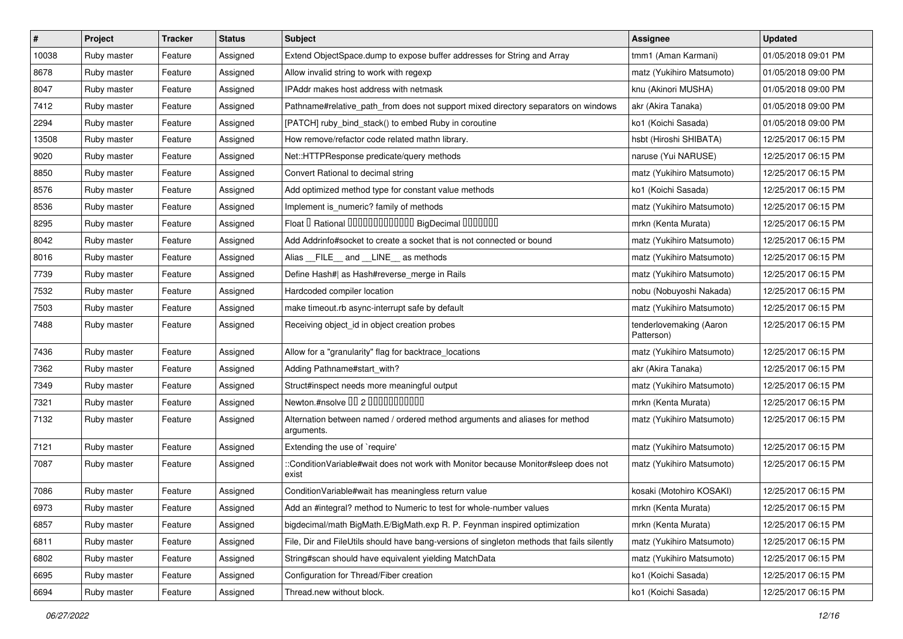| $\vert$ # | Project     | <b>Tracker</b> | <b>Status</b> | <b>Subject</b>                                                                              | Assignee                              | <b>Updated</b>      |
|-----------|-------------|----------------|---------------|---------------------------------------------------------------------------------------------|---------------------------------------|---------------------|
| 10038     | Ruby master | Feature        | Assigned      | Extend ObjectSpace.dump to expose buffer addresses for String and Array                     | tmm1 (Aman Karmani)                   | 01/05/2018 09:01 PM |
| 8678      | Ruby master | Feature        | Assigned      | Allow invalid string to work with regexp                                                    | matz (Yukihiro Matsumoto)             | 01/05/2018 09:00 PM |
| 8047      | Ruby master | Feature        | Assigned      | IPAddr makes host address with netmask                                                      | knu (Akinori MUSHA)                   | 01/05/2018 09:00 PM |
| 7412      | Ruby master | Feature        | Assigned      | Pathname#relative_path_from does not support mixed directory separators on windows          | akr (Akira Tanaka)                    | 01/05/2018 09:00 PM |
| 2294      | Ruby master | Feature        | Assigned      | [PATCH] ruby_bind_stack() to embed Ruby in coroutine                                        | ko1 (Koichi Sasada)                   | 01/05/2018 09:00 PM |
| 13508     | Ruby master | Feature        | Assigned      | How remove/refactor code related mathn library.                                             | hsbt (Hiroshi SHIBATA)                | 12/25/2017 06:15 PM |
| 9020      | Ruby master | Feature        | Assigned      | Net::HTTPResponse predicate/query methods                                                   | naruse (Yui NARUSE)                   | 12/25/2017 06:15 PM |
| 8850      | Ruby master | Feature        | Assigned      | Convert Rational to decimal string                                                          | matz (Yukihiro Matsumoto)             | 12/25/2017 06:15 PM |
| 8576      | Ruby master | Feature        | Assigned      | Add optimized method type for constant value methods                                        | ko1 (Koichi Sasada)                   | 12/25/2017 06:15 PM |
| 8536      | Ruby master | Feature        | Assigned      | Implement is numeric? family of methods                                                     | matz (Yukihiro Matsumoto)             | 12/25/2017 06:15 PM |
| 8295      | Ruby master | Feature        | Assigned      | Float I Rational IIIIIIIIIIIIIIIIIII BigDecimal IIIIIIIIII                                  | mrkn (Kenta Murata)                   | 12/25/2017 06:15 PM |
| 8042      | Ruby master | Feature        | Assigned      | Add Addrinfo#socket to create a socket that is not connected or bound                       | matz (Yukihiro Matsumoto)             | 12/25/2017 06:15 PM |
| 8016      | Ruby master | Feature        | Assigned      | Alias FILE and LINE as methods                                                              | matz (Yukihiro Matsumoto)             | 12/25/2017 06:15 PM |
| 7739      | Ruby master | Feature        | Assigned      | Define Hash#  as Hash#reverse_merge in Rails                                                | matz (Yukihiro Matsumoto)             | 12/25/2017 06:15 PM |
| 7532      | Ruby master | Feature        | Assigned      | Hardcoded compiler location                                                                 | nobu (Nobuyoshi Nakada)               | 12/25/2017 06:15 PM |
| 7503      | Ruby master | Feature        | Assigned      | make timeout.rb async-interrupt safe by default                                             | matz (Yukihiro Matsumoto)             | 12/25/2017 06:15 PM |
| 7488      | Ruby master | Feature        | Assigned      | Receiving object_id in object creation probes                                               | tenderlovemaking (Aaron<br>Patterson) | 12/25/2017 06:15 PM |
| 7436      | Ruby master | Feature        | Assigned      | Allow for a "granularity" flag for backtrace_locations                                      | matz (Yukihiro Matsumoto)             | 12/25/2017 06:15 PM |
| 7362      | Ruby master | Feature        | Assigned      | Adding Pathname#start_with?                                                                 | akr (Akira Tanaka)                    | 12/25/2017 06:15 PM |
| 7349      | Ruby master | Feature        | Assigned      | Struct#inspect needs more meaningful output                                                 | matz (Yukihiro Matsumoto)             | 12/25/2017 06:15 PM |
| 7321      | Ruby master | Feature        | Assigned      | Newton.#nsolve 00 2 0000000000                                                              | mrkn (Kenta Murata)                   | 12/25/2017 06:15 PM |
| 7132      | Ruby master | Feature        | Assigned      | Alternation between named / ordered method arguments and aliases for method<br>arguments.   | matz (Yukihiro Matsumoto)             | 12/25/2017 06:15 PM |
| 7121      | Ruby master | Feature        | Assigned      | Extending the use of `require'                                                              | matz (Yukihiro Matsumoto)             | 12/25/2017 06:15 PM |
| 7087      | Ruby master | Feature        | Assigned      | ::ConditionVariable#wait does not work with Monitor because Monitor#sleep does not<br>exist | matz (Yukihiro Matsumoto)             | 12/25/2017 06:15 PM |
| 7086      | Ruby master | Feature        | Assigned      | ConditionVariable#wait has meaningless return value                                         | kosaki (Motohiro KOSAKI)              | 12/25/2017 06:15 PM |
| 6973      | Ruby master | Feature        | Assigned      | Add an #integral? method to Numeric to test for whole-number values                         | mrkn (Kenta Murata)                   | 12/25/2017 06:15 PM |
| 6857      | Ruby master | Feature        | Assigned      | bigdecimal/math BigMath.E/BigMath.exp R. P. Feynman inspired optimization                   | mrkn (Kenta Murata)                   | 12/25/2017 06:15 PM |
| 6811      | Ruby master | Feature        | Assigned      | File, Dir and FileUtils should have bang-versions of singleton methods that fails silently  | matz (Yukihiro Matsumoto)             | 12/25/2017 06:15 PM |
| 6802      | Ruby master | Feature        | Assigned      | String#scan should have equivalent yielding MatchData                                       | matz (Yukihiro Matsumoto)             | 12/25/2017 06:15 PM |
| 6695      | Ruby master | Feature        | Assigned      | Configuration for Thread/Fiber creation                                                     | ko1 (Koichi Sasada)                   | 12/25/2017 06:15 PM |
| 6694      | Ruby master | Feature        | Assigned      | Thread.new without block.                                                                   | ko1 (Koichi Sasada)                   | 12/25/2017 06:15 PM |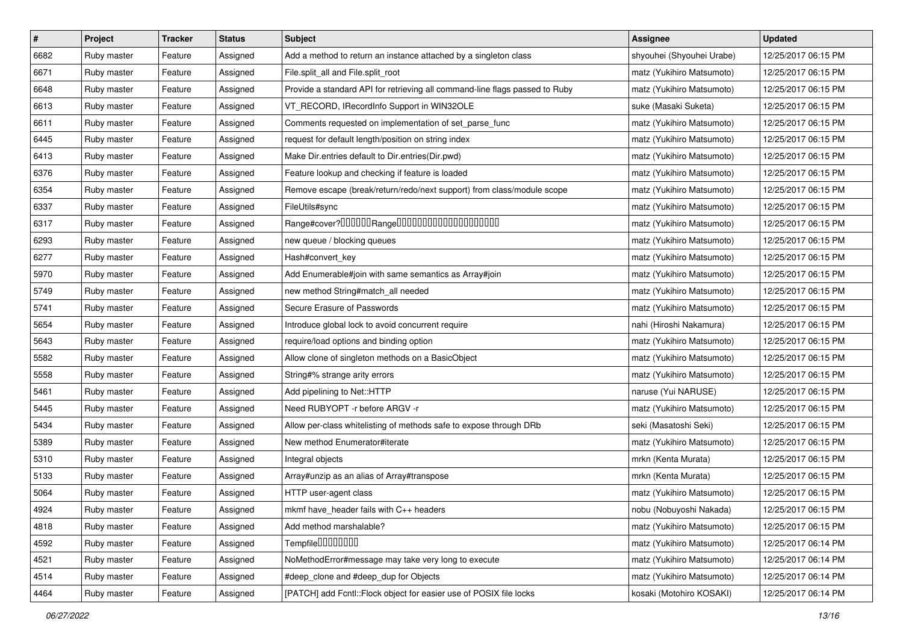| $\vert$ # | Project     | <b>Tracker</b> | <b>Status</b> | <b>Subject</b>                                                              | <b>Assignee</b>           | <b>Updated</b>      |
|-----------|-------------|----------------|---------------|-----------------------------------------------------------------------------|---------------------------|---------------------|
| 6682      | Ruby master | Feature        | Assigned      | Add a method to return an instance attached by a singleton class            | shyouhei (Shyouhei Urabe) | 12/25/2017 06:15 PM |
| 6671      | Ruby master | Feature        | Assigned      | File.split_all and File.split_root                                          | matz (Yukihiro Matsumoto) | 12/25/2017 06:15 PM |
| 6648      | Ruby master | Feature        | Assigned      | Provide a standard API for retrieving all command-line flags passed to Ruby | matz (Yukihiro Matsumoto) | 12/25/2017 06:15 PM |
| 6613      | Ruby master | Feature        | Assigned      | VT_RECORD, IRecordInfo Support in WIN32OLE                                  | suke (Masaki Suketa)      | 12/25/2017 06:15 PM |
| 6611      | Ruby master | Feature        | Assigned      | Comments requested on implementation of set_parse_func                      | matz (Yukihiro Matsumoto) | 12/25/2017 06:15 PM |
| 6445      | Ruby master | Feature        | Assigned      | request for default length/position on string index                         | matz (Yukihiro Matsumoto) | 12/25/2017 06:15 PM |
| 6413      | Ruby master | Feature        | Assigned      | Make Dir.entries default to Dir.entries(Dir.pwd)                            | matz (Yukihiro Matsumoto) | 12/25/2017 06:15 PM |
| 6376      | Ruby master | Feature        | Assigned      | Feature lookup and checking if feature is loaded                            | matz (Yukihiro Matsumoto) | 12/25/2017 06:15 PM |
| 6354      | Ruby master | Feature        | Assigned      | Remove escape (break/return/redo/next support) from class/module scope      | matz (Yukihiro Matsumoto) | 12/25/2017 06:15 PM |
| 6337      | Ruby master | Feature        | Assigned      | FileUtils#sync                                                              | matz (Yukihiro Matsumoto) | 12/25/2017 06:15 PM |
| 6317      | Ruby master | Feature        | Assigned      |                                                                             | matz (Yukihiro Matsumoto) | 12/25/2017 06:15 PM |
| 6293      | Ruby master | Feature        | Assigned      | new queue / blocking queues                                                 | matz (Yukihiro Matsumoto) | 12/25/2017 06:15 PM |
| 6277      | Ruby master | Feature        | Assigned      | Hash#convert_key                                                            | matz (Yukihiro Matsumoto) | 12/25/2017 06:15 PM |
| 5970      | Ruby master | Feature        | Assigned      | Add Enumerable#join with same semantics as Array#join                       | matz (Yukihiro Matsumoto) | 12/25/2017 06:15 PM |
| 5749      | Ruby master | Feature        | Assigned      | new method String#match_all needed                                          | matz (Yukihiro Matsumoto) | 12/25/2017 06:15 PM |
| 5741      | Ruby master | Feature        | Assigned      | Secure Erasure of Passwords                                                 | matz (Yukihiro Matsumoto) | 12/25/2017 06:15 PM |
| 5654      | Ruby master | Feature        | Assigned      | Introduce global lock to avoid concurrent require                           | nahi (Hiroshi Nakamura)   | 12/25/2017 06:15 PM |
| 5643      | Ruby master | Feature        | Assigned      | require/load options and binding option                                     | matz (Yukihiro Matsumoto) | 12/25/2017 06:15 PM |
| 5582      | Ruby master | Feature        | Assigned      | Allow clone of singleton methods on a BasicObject                           | matz (Yukihiro Matsumoto) | 12/25/2017 06:15 PM |
| 5558      | Ruby master | Feature        | Assigned      | String#% strange arity errors                                               | matz (Yukihiro Matsumoto) | 12/25/2017 06:15 PM |
| 5461      | Ruby master | Feature        | Assigned      | Add pipelining to Net::HTTP                                                 | naruse (Yui NARUSE)       | 12/25/2017 06:15 PM |
| 5445      | Ruby master | Feature        | Assigned      | Need RUBYOPT -r before ARGV -r                                              | matz (Yukihiro Matsumoto) | 12/25/2017 06:15 PM |
| 5434      | Ruby master | Feature        | Assigned      | Allow per-class whitelisting of methods safe to expose through DRb          | seki (Masatoshi Seki)     | 12/25/2017 06:15 PM |
| 5389      | Ruby master | Feature        | Assigned      | New method Enumerator#iterate                                               | matz (Yukihiro Matsumoto) | 12/25/2017 06:15 PM |
| 5310      | Ruby master | Feature        | Assigned      | Integral objects                                                            | mrkn (Kenta Murata)       | 12/25/2017 06:15 PM |
| 5133      | Ruby master | Feature        | Assigned      | Array#unzip as an alias of Array#transpose                                  | mrkn (Kenta Murata)       | 12/25/2017 06:15 PM |
| 5064      | Ruby master | Feature        | Assigned      | HTTP user-agent class                                                       | matz (Yukihiro Matsumoto) | 12/25/2017 06:15 PM |
| 4924      | Ruby master | Feature        | Assigned      | mkmf have_header fails with C++ headers                                     | nobu (Nobuyoshi Nakada)   | 12/25/2017 06:15 PM |
| 4818      | Ruby master | Feature        | Assigned      | Add method marshalable?                                                     | matz (Yukihiro Matsumoto) | 12/25/2017 06:15 PM |
| 4592      | Ruby master | Feature        | Assigned      | Tempfile0000000                                                             | matz (Yukihiro Matsumoto) | 12/25/2017 06:14 PM |
| 4521      | Ruby master | Feature        | Assigned      | NoMethodError#message may take very long to execute                         | matz (Yukihiro Matsumoto) | 12/25/2017 06:14 PM |
| 4514      | Ruby master | Feature        | Assigned      | #deep_clone and #deep_dup for Objects                                       | matz (Yukihiro Matsumoto) | 12/25/2017 06:14 PM |
| 4464      | Ruby master | Feature        | Assigned      | [PATCH] add Fcntl:: Flock object for easier use of POSIX file locks         | kosaki (Motohiro KOSAKI)  | 12/25/2017 06:14 PM |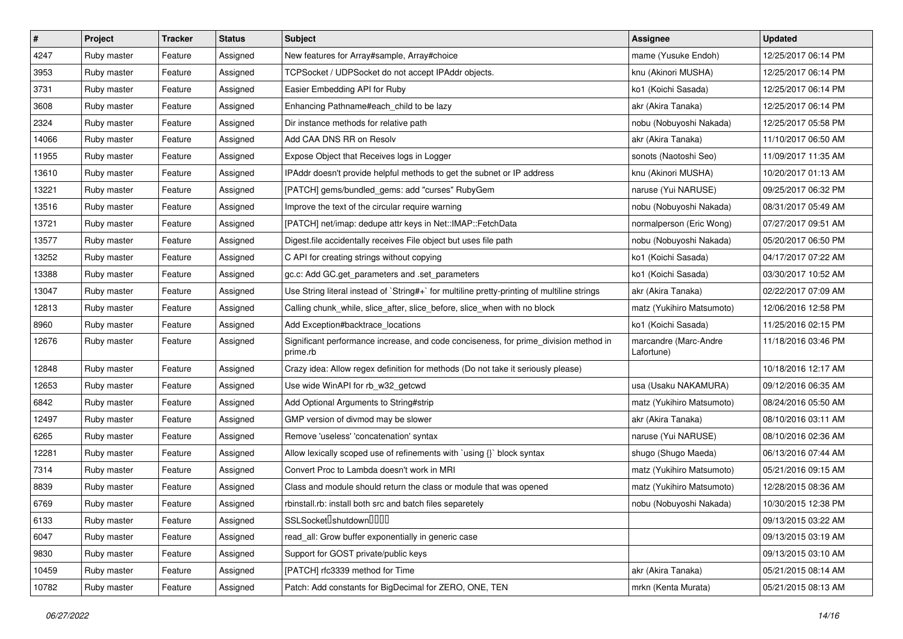| $\vert$ # | Project     | <b>Tracker</b> | <b>Status</b> | Subject                                                                                          | <b>Assignee</b>                     | <b>Updated</b>      |
|-----------|-------------|----------------|---------------|--------------------------------------------------------------------------------------------------|-------------------------------------|---------------------|
| 4247      | Ruby master | Feature        | Assigned      | New features for Array#sample, Array#choice                                                      | mame (Yusuke Endoh)                 | 12/25/2017 06:14 PM |
| 3953      | Ruby master | Feature        | Assigned      | TCPSocket / UDPSocket do not accept IPAddr objects.                                              | knu (Akinori MUSHA)                 | 12/25/2017 06:14 PM |
| 3731      | Ruby master | Feature        | Assigned      | Easier Embedding API for Ruby                                                                    | ko1 (Koichi Sasada)                 | 12/25/2017 06:14 PM |
| 3608      | Ruby master | Feature        | Assigned      | Enhancing Pathname#each_child to be lazy                                                         | akr (Akira Tanaka)                  | 12/25/2017 06:14 PM |
| 2324      | Ruby master | Feature        | Assigned      | Dir instance methods for relative path                                                           | nobu (Nobuyoshi Nakada)             | 12/25/2017 05:58 PM |
| 14066     | Ruby master | Feature        | Assigned      | Add CAA DNS RR on Resolv                                                                         | akr (Akira Tanaka)                  | 11/10/2017 06:50 AM |
| 11955     | Ruby master | Feature        | Assigned      | Expose Object that Receives logs in Logger                                                       | sonots (Naotoshi Seo)               | 11/09/2017 11:35 AM |
| 13610     | Ruby master | Feature        | Assigned      | IPAddr doesn't provide helpful methods to get the subnet or IP address                           | knu (Akinori MUSHA)                 | 10/20/2017 01:13 AM |
| 13221     | Ruby master | Feature        | Assigned      | [PATCH] gems/bundled_gems: add "curses" RubyGem                                                  | naruse (Yui NARUSE)                 | 09/25/2017 06:32 PM |
| 13516     | Ruby master | Feature        | Assigned      | Improve the text of the circular require warning                                                 | nobu (Nobuyoshi Nakada)             | 08/31/2017 05:49 AM |
| 13721     | Ruby master | Feature        | Assigned      | [PATCH] net/imap: dedupe attr keys in Net::IMAP::FetchData                                       | normalperson (Eric Wong)            | 07/27/2017 09:51 AM |
| 13577     | Ruby master | Feature        | Assigned      | Digest file accidentally receives File object but uses file path                                 | nobu (Nobuyoshi Nakada)             | 05/20/2017 06:50 PM |
| 13252     | Ruby master | Feature        | Assigned      | C API for creating strings without copying                                                       | ko1 (Koichi Sasada)                 | 04/17/2017 07:22 AM |
| 13388     | Ruby master | Feature        | Assigned      | gc.c: Add GC.get_parameters and .set_parameters                                                  | ko1 (Koichi Sasada)                 | 03/30/2017 10:52 AM |
| 13047     | Ruby master | Feature        | Assigned      | Use String literal instead of `String#+` for multiline pretty-printing of multiline strings      | akr (Akira Tanaka)                  | 02/22/2017 07:09 AM |
| 12813     | Ruby master | Feature        | Assigned      | Calling chunk_while, slice_after, slice_before, slice_when with no block                         | matz (Yukihiro Matsumoto)           | 12/06/2016 12:58 PM |
| 8960      | Ruby master | Feature        | Assigned      | Add Exception#backtrace_locations                                                                | ko1 (Koichi Sasada)                 | 11/25/2016 02:15 PM |
| 12676     | Ruby master | Feature        | Assigned      | Significant performance increase, and code conciseness, for prime_division method in<br>prime.rb | marcandre (Marc-Andre<br>Lafortune) | 11/18/2016 03:46 PM |
| 12848     | Ruby master | Feature        | Assigned      | Crazy idea: Allow regex definition for methods (Do not take it seriously please)                 |                                     | 10/18/2016 12:17 AM |
| 12653     | Ruby master | Feature        | Assigned      | Use wide WinAPI for rb_w32_getcwd                                                                | usa (Usaku NAKAMURA)                | 09/12/2016 06:35 AM |
| 6842      | Ruby master | Feature        | Assigned      | Add Optional Arguments to String#strip                                                           | matz (Yukihiro Matsumoto)           | 08/24/2016 05:50 AM |
| 12497     | Ruby master | Feature        | Assigned      | GMP version of divmod may be slower                                                              | akr (Akira Tanaka)                  | 08/10/2016 03:11 AM |
| 6265      | Ruby master | Feature        | Assigned      | Remove 'useless' 'concatenation' syntax                                                          | naruse (Yui NARUSE)                 | 08/10/2016 02:36 AM |
| 12281     | Ruby master | Feature        | Assigned      | Allow lexically scoped use of refinements with `using {}` block syntax                           | shugo (Shugo Maeda)                 | 06/13/2016 07:44 AM |
| 7314      | Ruby master | Feature        | Assigned      | Convert Proc to Lambda doesn't work in MRI                                                       | matz (Yukihiro Matsumoto)           | 05/21/2016 09:15 AM |
| 8839      | Ruby master | Feature        | Assigned      | Class and module should return the class or module that was opened                               | matz (Yukihiro Matsumoto)           | 12/28/2015 08:36 AM |
| 6769      | Ruby master | Feature        | Assigned      | rbinstall.rb: install both src and batch files separetely                                        | nobu (Nobuyoshi Nakada)             | 10/30/2015 12:38 PM |
| 6133      | Ruby master | Feature        | Assigned      | SSLSocket <sup>[</sup> shutdown <sup>[1011]</sup>                                                |                                     | 09/13/2015 03:22 AM |
| 6047      | Ruby master | Feature        | Assigned      | read all: Grow buffer exponentially in generic case                                              |                                     | 09/13/2015 03:19 AM |
| 9830      | Ruby master | Feature        | Assigned      | Support for GOST private/public keys                                                             |                                     | 09/13/2015 03:10 AM |
| 10459     | Ruby master | Feature        | Assigned      | [PATCH] rfc3339 method for Time                                                                  | akr (Akira Tanaka)                  | 05/21/2015 08:14 AM |
| 10782     | Ruby master | Feature        | Assigned      | Patch: Add constants for BigDecimal for ZERO, ONE, TEN                                           | mrkn (Kenta Murata)                 | 05/21/2015 08:13 AM |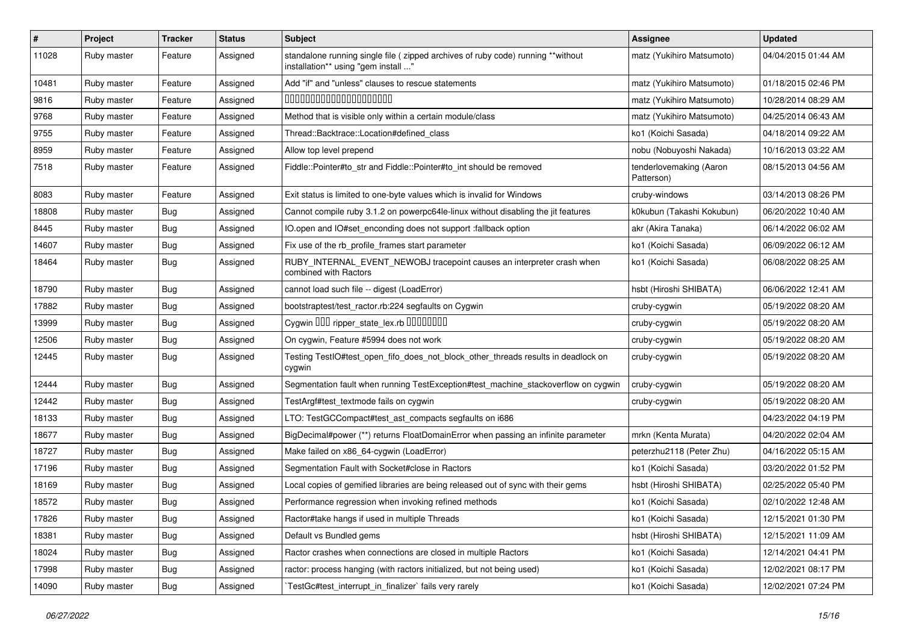| $\vert$ # | Project     | <b>Tracker</b> | <b>Status</b> | Subject                                                                                                                 | Assignee                              | <b>Updated</b>      |
|-----------|-------------|----------------|---------------|-------------------------------------------------------------------------------------------------------------------------|---------------------------------------|---------------------|
| 11028     | Ruby master | Feature        | Assigned      | standalone running single file ( zipped archives of ruby code) running **without<br>installation** using "gem install " | matz (Yukihiro Matsumoto)             | 04/04/2015 01:44 AM |
| 10481     | Ruby master | Feature        | Assigned      | Add "if" and "unless" clauses to rescue statements                                                                      | matz (Yukihiro Matsumoto)             | 01/18/2015 02:46 PM |
| 9816      | Ruby master | Feature        | Assigned      | 00000000000000000000                                                                                                    | matz (Yukihiro Matsumoto)             | 10/28/2014 08:29 AM |
| 9768      | Ruby master | Feature        | Assigned      | Method that is visible only within a certain module/class                                                               | matz (Yukihiro Matsumoto)             | 04/25/2014 06:43 AM |
| 9755      | Ruby master | Feature        | Assigned      | Thread::Backtrace::Location#defined class                                                                               | ko1 (Koichi Sasada)                   | 04/18/2014 09:22 AM |
| 8959      | Ruby master | Feature        | Assigned      | Allow top level prepend                                                                                                 | nobu (Nobuyoshi Nakada)               | 10/16/2013 03:22 AM |
| 7518      | Ruby master | Feature        | Assigned      | Fiddle::Pointer#to_str and Fiddle::Pointer#to_int should be removed                                                     | tenderlovemaking (Aaron<br>Patterson) | 08/15/2013 04:56 AM |
| 8083      | Ruby master | Feature        | Assigned      | Exit status is limited to one-byte values which is invalid for Windows                                                  | cruby-windows                         | 03/14/2013 08:26 PM |
| 18808     | Ruby master | Bug            | Assigned      | Cannot compile ruby 3.1.2 on powerpc64le-linux without disabling the jit features                                       | k0kubun (Takashi Kokubun)             | 06/20/2022 10:40 AM |
| 8445      | Ruby master | Bug            | Assigned      | IO.open and IO#set_enconding does not support :fallback option                                                          | akr (Akira Tanaka)                    | 06/14/2022 06:02 AM |
| 14607     | Ruby master | Bug            | Assigned      | Fix use of the rb_profile_frames start parameter                                                                        | ko1 (Koichi Sasada)                   | 06/09/2022 06:12 AM |
| 18464     | Ruby master | Bug            | Assigned      | RUBY_INTERNAL_EVENT_NEWOBJ tracepoint causes an interpreter crash when<br>combined with Ractors                         | ko1 (Koichi Sasada)                   | 06/08/2022 08:25 AM |
| 18790     | Ruby master | Bug            | Assigned      | cannot load such file -- digest (LoadError)                                                                             | hsbt (Hiroshi SHIBATA)                | 06/06/2022 12:41 AM |
| 17882     | Ruby master | Bug            | Assigned      | bootstraptest/test_ractor.rb:224 segfaults on Cygwin                                                                    | cruby-cygwin                          | 05/19/2022 08:20 AM |
| 13999     | Ruby master | Bug            | Assigned      | Cygwin DDD ripper state lex.rb DDDDDDDD                                                                                 | cruby-cygwin                          | 05/19/2022 08:20 AM |
| 12506     | Ruby master | <b>Bug</b>     | Assigned      | On cygwin, Feature #5994 does not work                                                                                  | cruby-cygwin                          | 05/19/2022 08:20 AM |
| 12445     | Ruby master | Bug            | Assigned      | Testing TestIO#test_open_fifo_does_not_block_other_threads results in deadlock on<br>cygwin                             | cruby-cygwin                          | 05/19/2022 08:20 AM |
| 12444     | Ruby master | <b>Bug</b>     | Assigned      | Segmentation fault when running TestException#test_machine_stackoverflow on cygwin                                      | cruby-cygwin                          | 05/19/2022 08:20 AM |
| 12442     | Ruby master | Bug            | Assigned      | TestArgf#test_textmode fails on cygwin                                                                                  | cruby-cygwin                          | 05/19/2022 08:20 AM |
| 18133     | Ruby master | Bug            | Assigned      | LTO: TestGCCompact#test ast compacts segfaults on i686                                                                  |                                       | 04/23/2022 04:19 PM |
| 18677     | Ruby master | Bug            | Assigned      | BigDecimal#power (**) returns FloatDomainError when passing an infinite parameter                                       | mrkn (Kenta Murata)                   | 04/20/2022 02:04 AM |
| 18727     | Ruby master | <b>Bug</b>     | Assigned      | Make failed on x86_64-cygwin (LoadError)                                                                                | peterzhu2118 (Peter Zhu)              | 04/16/2022 05:15 AM |
| 17196     | Ruby master | Bug            | Assigned      | Segmentation Fault with Socket#close in Ractors                                                                         | ko1 (Koichi Sasada)                   | 03/20/2022 01:52 PM |
| 18169     | Ruby master | Bug            | Assigned      | Local copies of gemified libraries are being released out of sync with their gems                                       | hsbt (Hiroshi SHIBATA)                | 02/25/2022 05:40 PM |
| 18572     | Ruby master | Bug            | Assigned      | Performance regression when invoking refined methods                                                                    | ko1 (Koichi Sasada)                   | 02/10/2022 12:48 AM |
| 17826     | Ruby master | <b>Bug</b>     | Assigned      | Ractor#take hangs if used in multiple Threads                                                                           | ko1 (Koichi Sasada)                   | 12/15/2021 01:30 PM |
| 18381     | Ruby master | <b>Bug</b>     | Assigned      | Default vs Bundled gems                                                                                                 | hsbt (Hiroshi SHIBATA)                | 12/15/2021 11:09 AM |
| 18024     | Ruby master | <b>Bug</b>     | Assigned      | Ractor crashes when connections are closed in multiple Ractors                                                          | ko1 (Koichi Sasada)                   | 12/14/2021 04:41 PM |
| 17998     | Ruby master | Bug            | Assigned      | ractor: process hanging (with ractors initialized, but not being used)                                                  | ko1 (Koichi Sasada)                   | 12/02/2021 08:17 PM |
| 14090     | Ruby master | <b>Bug</b>     | Assigned      | TestGc#test_interrupt_in_finalizer` fails very rarely                                                                   | ko1 (Koichi Sasada)                   | 12/02/2021 07:24 PM |